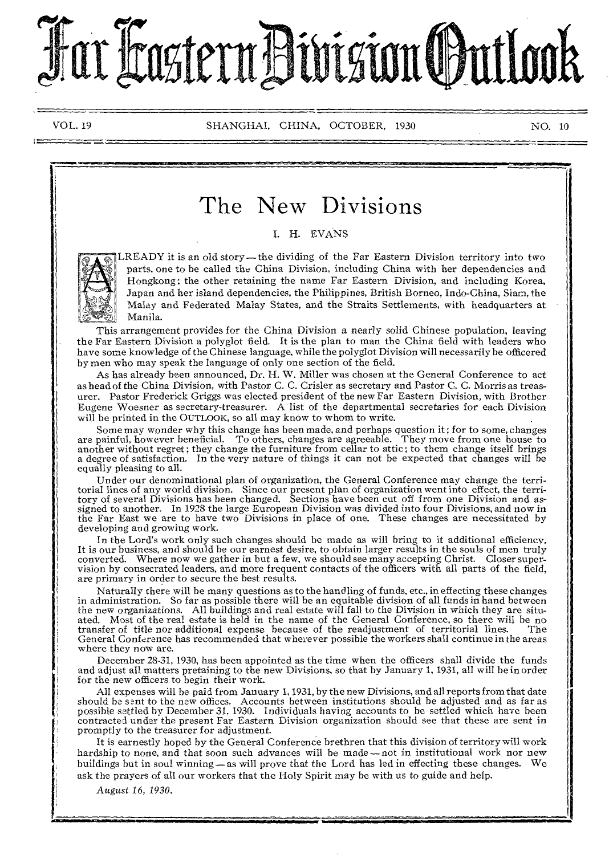# Pretern Bivision Odutlook

VOL. 19 SHANGHAI, CHINA, OCTOBER, 1930 NO. 10

# The New Divisions

I. H. EVANS



LREADY it is an old story—the dividing of the Far Eastern Division territory into two parts, one to be called the China Division, including China with her dependencies and Hongkong ; the other retaining the name Far Eastern Division, and including Korea, Japan and her island dependencies, the Philippines, British Borneo, Indo-China, Siam, the Malay and Federated Malay States, and the Straits Settlements, with headquarters at Manila.

This arrangement provides for the China Division a nearly solid Chinese population, leaving the Far Eastern Division a polyglot field. It is the plan to man the China field with leaders who have some knowledge of the Chinese language, while the polyglot Division will necessarily be officered by men who may speak the language of only one section of the field.

As has already been announced, Dr. H. W. Miller was chosen at the General Conference to act as head of the China Division, with Pastor C. C. Crisler as secretary and Pastor C. C. Morris as treasurer. Pastor Frederick Griggs was elected president of the new Far Eastern Division, with Brother Eugene Woesner as secretary-treasurer. A list of the departmental secretaries for each Division will be printed in the OUTLOOK, so all may know to whom to write.

Some may wonder why this change has been made, and perhaps question it; for to some, changes<br>are painful, however beneficial. To others, changes are agreeable. They move from one house to<br>another without regret; they chang a degree of satisfaction. In the very nature of things it can not be expected that changes will be equally pleasing to all.

Under our denominational plan of organization, the General Conference may change the territorial lines of any world division. Since our present plan of organization went into effect, the territory of several Divisions has been changed. Sections have been cut off from one Division and assigned to another. In 1928 the large European Division was divided into four Divisions, and now in the Far East we are to have two Divisions in place of one. These changes are necessitated by developing and growing work.

In the Lord's work only such changes should be made as will bring to it additional efficiency. It is our business, and should be our earnest desire, to obtain larger results in the souls of men truly converted. Where now we gather in but a few, we should see many accepting Christ. Closer super-vision by consecrated leaders, and more frequent contacts of the officers with all parts of the field, are primary in order to secure the best results.

Naturally there will be many questions as to the handling of funds, etc., in effecting these changes in administration. So far as possible there will be an equitable division of all funds in hand between the new organizations. All buildings and real estate will fall to the Division in which they are situ-ated. Most of the real estate is held in the name of the General Conference, so there will be no transfer of title nor additional expense because of the readjustment of territorial lines. The General Conference has recommended that wherever possible the workers shall continue in the areas where they now are.

December 28-31, 1930, has been appointed as the time when the officers shall divide the funds and adjust all matters pretaining to the new Divisions, so that by January 1, 1931, all will be in order for the new officers to begin their work.

All expenses will be paid from January 1, 1931, by the new Divisions, and all reports from that date should be sent to the new offices. Accounts between institutions should be adjusted and as far as possible settled by December 31, 1930. Individuals having accounts to be settled which have been contracted under the present Far Eastern Division organization should see that these are sent in promptly to the treasurer for adjustment.

It is earnestly hoped by the General Conference brethren that this division of territory will work hardship to none, and that soon such advances will be made—not in institutional work nor new buildings but in soul winning—as will prove that the Lord has led in effecting these changes. We ask the prayers of all our workers that the Holy Spirit may be with us to guide and help.

August 16, *1930.*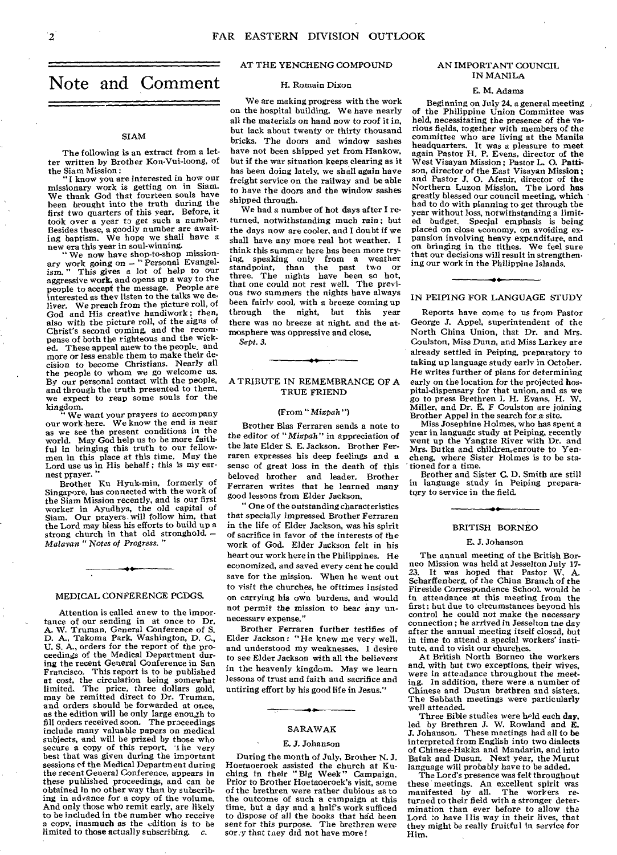# Note and Comment

#### SIAM

The following is an extract from a letter written by Brother Kon-Vui-loong, of

the Siam Mission: "I know you are interested in how our missionary work is getting on in Siam. We thank God that fourteen souls have been brought into the truth during the first two quarters of this year. Before, it took over a year to get such a number. Besides these, a goodly number are await-ing baptism. We hope we shall have a new era this year in soul-winning.

" We now have shop-to-shop mission-ary work *going* on — " Personal Evangel-ism. " This gives a lot of help to our aggressive work, and opens up a way to the people to accept the message. People are interested as they listen to the talks we deliver. We preach from the picture roll, of God and His creative handiwork; then, also with the picture roll, of the *signs* of Christ's second coming, and the recompense of both the righteous and the wicked. These appeal anew to the people, and more or less enable them to make their decision to become Christians. Nearly all the people to whom we go welcome us. By our personal contact with the people, and through the truth presented to them, we expect to reap some souls for the kingdom.

" We *want* your prayers to accompany our work here. We know the *end is* near as we see the present conditions in the world. May God help us to be more faithful in bringing this truth to our fellowmen in this place at this time. May the Lord use us in His behalf : this is my earnest prayer.

Brother Ku Hyuk-min, formerly of Singapore, has connected with the work of the *Siam* Mission recently, and is our first worker in Ayudhya, the old capital of Siam. Our prayers. will follow him, that the Lord may bless his efforts to build up a strong church in that old stronghold. *— Malayan " Notes of Progress. "* 

#### MEDICAL CONFERENCE PCDGS.

Attention is called anew to the importance of our sending in at once to Dr. A. W. Truman, General Conference of S. D. A., Takoma Park, Washington, D. C., U. S. A., orders for the report of the proceedings of the Medical Department dur-ing the recent General Conference in San Francisco. This report is to be published at cost, the circulation being somewhat limited. The price, three dollars gold, may be remitted direct to Dr. Truman, and orders should be forwarded at once, as the edition will be only large enough to fill orders received soon. The proceedings include many valuable papers on medical subjects, and will be prized by those who secure a copy of this report. 't he very best that was given during the important sessions of the Medical Department during the recent General Conference, appears in these published proceedings, and can be obtained in no other way than by subscribing in advance for a copy of the volume. And only those who remit early, are likely to be included in the number who receive a copy, inasmuch as the edition *is* to be limited to those actually subscribing.

#### AT THE YENCHENG COMPOUND

#### H. Romain Dixon

We are making progress with the work on the hospital building. We have nearly all the materials on hand now to roof it in, but lack about twenty or thirty thousand bricks. The doors and window sashes have not been shipped yet from Hankow, but if the war situation keeps clearing as it has been doing lately, we shall again have freight service on the railway and be able to have the doors and the window sashes shipped through.

We had a number of hot days after I returned, *notwithstanding much rain ;* but the days now are cooler, and I doubt if we shall have any more real hot weather. I think this summer here has been more trying, speaking only from a weather standpoint, than the past two or three. The nights have been so hot, that one could not rest well. The previous two summers the nights have always been fairly cool, with a breeze coming up through the night, but this year there was no breeze at night. and the atmosphere was oppressive and close.

*Sept.* 3.

#### A TRIBUTE IN REMEMBRANCE OF A TRUE FRIEND

#### (From " Mizpah")

Brother Blas Ferraren sends a note to the editor of *"Mizpah* " *in* appreciation of the late Elder S. E. Jackson. Brother Ferraren expresses his deep feelings and a sense of great loss in the death of this beloved brother and leader. Brother Ferraren writes that he learned many good lessons from Elder Jackson,

"One of the outstanding characteristics that specially impressed Brother Ferraren in the life of Elder Jackson, was his spirit of sacrifice in favor of the interests of the work of God. Elder Jackson felt in his heart our work here in the Philippines. He economized, *and* saved every cent he could save for the mission. When he went out to visit the churches, he ofttimes insisted on carrying his own burdens, and would not permit the *mission* to bear *any unnecessary* expense."

Brother Ferraren further testifies of Elder Jackson: "He knew me very well, and understood my weaknesses. I desire to see Elder Jackson with all the believers in the heavenly kingdom. May we learn lessons of trust and faith and sacrifice and untiring effort by his good life in Jesus."

# **.4**  SARAWAK

#### E. J. Johanson

During the month of July, Brother N. J. Hoetaoeroek assisted the church at Ku-ching in their "Big Week" Campaign. Prior to Brother Hoetaoeroek's visit, some of the brethren were rather dubious as to the outcome of such a campaign at this time, but a day and a half's work sufficed to dispose of all the books that ha'd been sent for this purpose. The brethren were sor y that they did not have more!

#### AN IMPORTANT COUNCIL IN MANILA

#### E. M. Adams

Beginning on July 24, a general meeting , of the Philippine Union Committee was held, necessitating *the presence* of the various fields, together with members of the committee who are living at the Manila headquarters. It was a pleasure to meet again Pastor H. P. Evens, director of the West Visayan Mission; Pastor L. 0. Pattison, director of the East Visayan Mission ; and Pastor *J.* 0. Afenir, director of the Northern Luzon Mission. The Lord has greatly blessed our council meeting, which had to do with planning to get through the year without loss, notwithstanding a limited budget. Special emphasis is being placed on close economy, on avoiding expansion involving heavy expenditure, and on bringing in the tithes. We feel sure that our decisions will result in strengthening our work in the Philippine Islands.

#### IN PEIPING FOR LANGUAGE STUDY

Reports have come to us from Pastor George J. Appel, superintendent of the North China Union, that Dr. and Mrs. Coulston, Miss Dunn, and Miss Larkey are already settled in Peiping, preparatory to taking up language study early in October. He writes further of plans for determining early on the location for the projected hospital-dispensary for that union, and as we go to press Brethren I. H. Evans, H. W. Miller, and Dr. E. F Coulston are joining Brother Appel in the search for a site.

Miss Josephine Holmes, who has spent a year in language study at Peiping, recently<br>
went up the Yangtze River with Dr. and<br>
Mrs. Butka and children,enroute to Yen-<br>
cheng, where Sister Holmes is to be sta-<br>
tioned for a time.

Brother and Sister C. D. Smith are still in language study in Peiping preparatory to service in the field.

# مم BRITISH BORNEO

#### E. J. Johanson

The annual meeting of the British Borneo Mission was held at Jesselton July 17- 23. It *was* hoped that Pastor W. A. Scharffenberg, of the China Branch of the Fireside Correspondence School, would be in attendance at this meeting from the first; but due to circumstances beyond his control he could not make the necessary connection ; he arrived in Jesselton the day after the annual meeting itself closed, but in time to attend a special workers' institute, and to visit our churches.

At British North Borneo the workers and, with but two exceptions, *their* wives, were in attendance throughout the meeting. In addition, there were .a number of Chinese and Dusun brethren and sisters. The Sabbath meetings were particularly well attended.

Three Bible studies were held each day, led by Brethren J. W. Rowland and E. J. Johanson. These meetings had all to be interpreted from English into two dialects of Chinese-Hakka and Mandarin, and into Batak and Dusun, Next year, the Murut language will probably have to *be* added.

The Lord's presence was felt throughout these meetings. An excellent spirit was manifested by all. The workers re-turned to their field with a stronger determination than ever before to allow the Lord to have His way in their lives, that they might be really fruitful in service for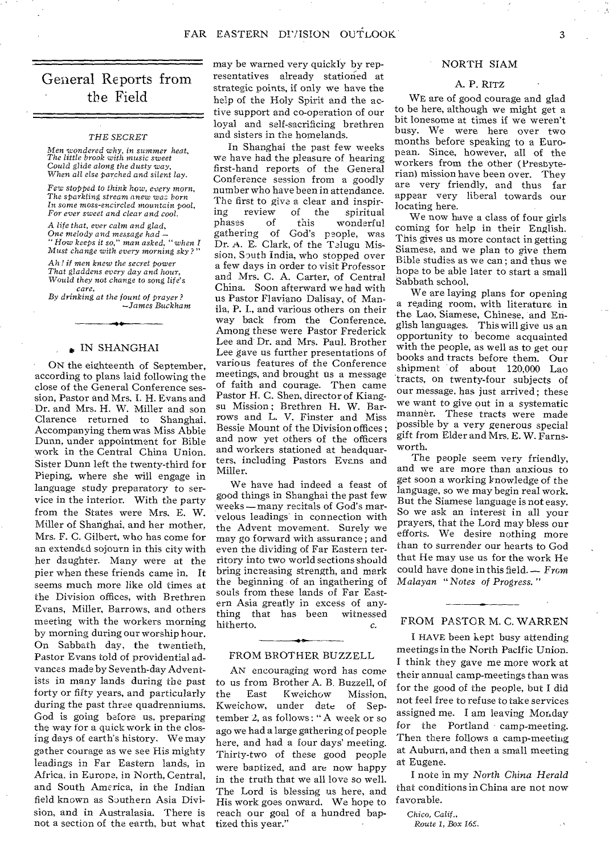# General Reports from the Field

#### *THE SECRET*

*Men wondered why, in summer heat. The little brook with music sweet Could glide along the dusty* way, *When all else parched and silent lay.* 

*Few stopped to think how, every morn,*  The sparkling stream anew *war born In some moss-encircled mountain* pool, *For ever sweet and clear and cool.* 

*A life that, ever calm and* glad, *One melody and message had — " How keeps it so," man asked, "when I Must change with every morning sky ?"* 

*Ah ! if men knew the secret power That gladdens every day and hour,*  Would *they* not change to song *life's care,* 

*By drinking at the fount of prayer? —James Buckham* 

#### **IN SHANGHAI**

ON the eighteenth of September, according to plans laid following the close of the General Conference session, Pastor and Mrs. I. H. Evans and Dr. and Mrs. H. W. Miller and son Clarence returned to Shanghai. Accompanying them was Miss Abbie Dunn, under appointment for Bible work in the Central China Union. Sister Dunn left the twenty-third for Pieping, where she will engage in language study preparatory to service in the interior. With the party from the States were Mrs. E. W. Miller of Shanghai, and her mother, Mrs. F. C. Gilbert, who has come for an extended sojourn in this city with her daughter. Many were at the pier when these friends came in. It seems much more like old times at the Division offices, with Brethren Evans, Miller, Barrows, and others meeting with the workers morning by morning during our worship hour. On Sabbath day, the twentieth, Pastor Evans told of providential advances made by Seventh-day Adventists in many lands during the past forty or fifty years, and particularly during the past three quadrenniums. God is going before us, preparing the way for a quick work in the closing days of earth's history. We may gather courage as we see His mighty leadings in Far Eastern lands, in Africa, in Europe, in North, Central, and South America, in the Indian field known as Southern Asia Division, and in Australasia. There is not a section of the earth, but what

may be warned very quickly by representatives already stationed at strategic points, if only we have the help of the Holy Spirit and the active support and co-operation of our loyal and self-sacrificing brethren and sisters in the homelands.

In Shanghai the past few weeks we have had the pleasure of hearing first-hand reports, of the General Conference session from a goodly number who have been in attendance. The first to give a clear and inspir-ing review of the spiritual ing review of the spiritual<br>phases of this wonderful<br>gathering of God's people, was of God's people, was Dr. A. E. Clark, of the Telugu Mission, South India, who stopped over a few days in order to visit Professor and Mrs. C. A. Carter, of Central China. Soon afterward we had with us Pastor Flaviano Dalisay, of Manila, P. I., and various others on their way back from the Conference. Among these were Pastor Frederick Lee and Dr. and Mrs. Paul. Brother Lee gave us further presentations of various features of the Conference meetings, and brought us a message of faith and courage. Then came Pastor H. C. Shen, director of Kiangsu Mission ; Brethren H. W. Barrows and L. V. Finster and Miss Bessie Mount of the Division offices ; and now yet others of the officers and workers stationed at headquarters, including Pastors Evans and Miller.

We have had indeed a feast of good things in Shanghai the past few weeks —many recitals of God's marvelous leadings in connection with the Advent movement. Surely we may go forward with assurance ; and even the dividing of Far Eastern territory into two world sections should bring increasing strength, and mark the beginning of an ingathering of souls from these lands of Far Eastern Asia greatly in excess of anything that has been witnessed<br>hitherto.  $c$ . hitherto.

#### FROM BROTHER BUZZELL

AN encouraging word has come to us from Brother A. B. Buzzell, of<br>the East Kweichow Mission. the East Kweichow Mission, Kweichow, under date of September 2, as follows : " A week or so ago we had a large gathering of people here, and had a four days' meeting. Thirty-two of these good people were baptized, and are now happy in the truth that we all love so well. The Lord is blessing us here, and His work goes onward. We hope to reach our goal of a hundred baptized this year."

## NORTH SIAM

#### A. P. RITZ

WE are of good courage and glad to be here, although we might get a bit lonesome at times if we weren't busy. We were here over two months before speaking to a European. Since, however, all of the workers from the other (Presbyterian) mission have been over. They are very friendly, and thus far appear very liberal towards our locating here.

We now have a class of four girls coming for help in their English. This gives us more contact in getting Siamese, and we plan to give them Bible studies as we can ; and thus we hope to be able later to start a small Sabbath school.

We are laying plans for opening a reading room, with literature in the Lao, Siamese, Chinese, and English languages. This will give us an opportunity to become acquainted with the people, as well as to get our books and tracts before them. Our shipment of about 120,000 Lao 'tracts, on twenty-four subjects of our message, has just arrived; these we want to give out in a systematic manner. These tracts were made possible by a very generous special gift from Elder and Mrs. E. W. Farnsworth.

The people seem very friendly, and we are more than anxious to get soon a working knowledge of the language, so we may begin real work. But the Siamese language is not easy. So we ask an interest in all your prayers, that the Lord may bless our efforts. We desire nothing more than to surrender our hearts to God that He may use us for the work He could have done in this field. — *From Malayan "Notes of Progress."* 

## FROM PASTOR M. C. WARREN

I HAVE been kept busy attending meetings in the North Pacific Union. I think they gave me more work at their annual camp-meetings than was for the good of the people, but I did not feel free to refuse to take services assigned me. I am leaving Monday for the Portland camp-meeting. Then there follows a camp-meeting at Auburn, and then a small meeting at Eugene.

I note in my *North China Herald*  that conditions in China are not now favorable.

*Chico,* Calif., *Route 1, Box 16::.*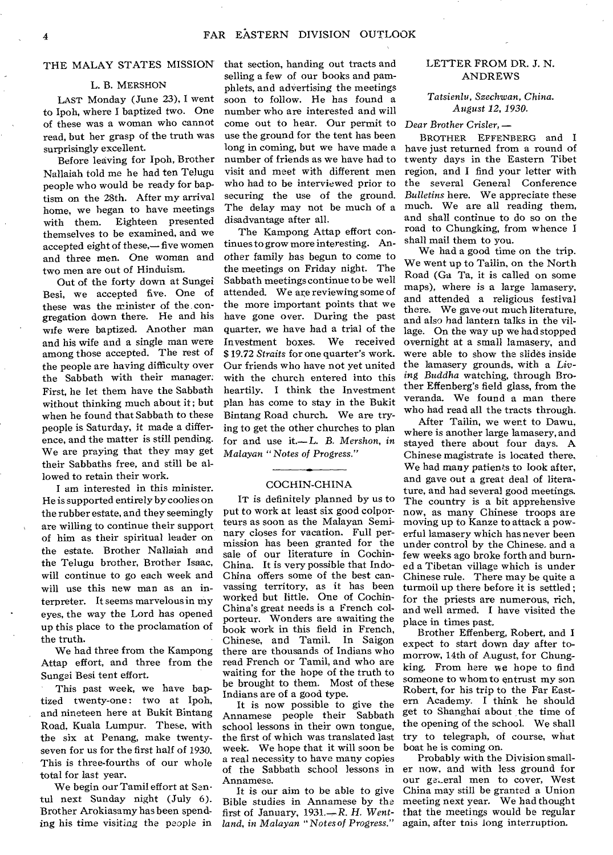# THE MALAY STATES MISSION

## L. B. MERSHON

LAST Monday (June 23), I went to Ipoh, where I baptized two. One of these was a woman who cannot read, but her grasp of the truth was surprisingly excellent.

Before leaving for Ipoh, Brother Nallaiah told me he had ten Telugu people who would be ready for baptism on the 28th. After my arrival home, we began to have meetings with them. Eighteen presented themselves to be examined, and we accepted eight of these,— five women and three men. One woman and two men are out of Hinduism.

Out of the forty down at Sungei Besi, we accepted five. One of these was the minister of the congregation down there. He and his wife were baptized. Another man and his wife and a single man were among those accepted. The rest of the people are having difficulty over the Sabbath with their manager. First, he let them have the Sabbath without thinking much about it; but when he found that Sabbath to these people is Saturday, it made a difference, and the matter is still pending. We are praying that they may get their Sabbaths free, and still be allowed to retain their work.

I am interested in this minister. He is supported entirely by coolies on the rubber estate, and they seemingly are willing to continue their support of him as their spiritual leader on the estate. Brother Nallaiah and the Telugu brother, Brother Isaac, will continue to go each week and will use this new man as an interpreter. It seems marvelous in my eyes, the way the Lord has opened up this place to the proclamation of the truth.

We had three from the Kampong Attap effort, and three from the Sungei Besi tent effort.

This past week, we have baptized twenty-one: two at Ipoh. and nineteen here at Bukit Bintang Road, Kuala Lumpur. These, with the six at Penang, make twentyseven for us for the first half of 1930. This is three-fourths of our whole total for last year.

We begin our Tamil effort at Sentul next Sunday night (July 6). Brother Arokiasamy has been spending his time visiting the people in that section, handing out tracts and selling a few of our books and pamphlets, and advertising the meetings soon to follow. He has found a number who are interested and will come out to hear. Our permit to use the ground for the tent has been long in coming, but we have made a number of friends as we have had to visit and meet with different men who had to be interviewed prior to securing the use of the ground. The delay may not be much of a disadvantage after all.

The Kampong Attap effort continues to grow more interesting. Another family has begun to come to the meetings on Friday night. The Sabbath meetings continue to be well attended. We are reviewing some of the more important points that we have gone over. During the past quarter, we have had a trial of the Investment boxes. We received \$ 19.72 *Straits* for one quarter's work. Our friends who have not yet united with the church entered into this heartily. I think the Investment plan has come to stay in the Bukit Bintang Road church. We are trying to get the other churches to plan for and use it.— *L. B. Mershon, in Malayan "Notes of Progress."* 

## COCHIN-CHINA

IT is definitely planned by us to put to work at least six good colporteurs as soon as the Malayan Seminary closes for vacation. Full permission has been granted for the sale of our literature in Cochin-China. It is very possible that Indo-China offers some of the best canvassing territory, as it has been worked but little. One of Cochin-China's great needs is a French colporteur. Wonders are awaiting the book work in this field in French, Chinese, and Tamil. In Saigon there are thousands of Indians who read French or Tamil, and who are waiting for the hope of the truth to be brought to them. Most of these Indians are of a good type.

It is now possible to give the Annamese people their Sabbath school lessons in their own tongue, the first of which was translated last week. We hope that it will soon be a real necessity to have many copies of the Sabbath school lessons in Annamese.

It is our aim to be able to give Bible studies in Annamese by the first of January, 1931.—R. *H. Wentland, in Malayan "Notes of Progress."* 

# LETTER FROM DR. J. N. ANDREWS

*Tatsienlu, Szechwan, China. August 12, 1930.* 

*Dear Brother Crisler.*—

BROTHER EFFENBERG and I have just returned from a round of twenty days in the Eastern Tibet region, and I find your letter with the several General Conference *Bulletins* here. We appreciate these much. We are all reading them, and shall continue to do so on the road to Chungking, from whence I shall mail them to you.

We had a good time on the trip. We went up to Tailin, on the North Road (Ga Ta, it is called on some maps), where is a large lamasery, and attended a religious festival there. We gave out much literature, and also had lantern talks in the village. On the way up we had stopped overnight at a small lamasery, and were able to show the slides inside the lamasery grounds, with a *Living Buddha* watching, through Brother Effenberg's field glass, from the veranda. We found a man there who had read all the tracts through.

After Tailin, we went to Dawu, where is another large lamasery, and stayed there about four days. A Chinese magistrate is located there, We had many patients to look after, and gave out a great deal of literature, and had several good meetings. The country is a bit apprehensive now, as many Chinese troops are moving up to Kanze to attack a powerful lamasery which has never been under control by the Chinese. and a few weeks ago broke forth and burned a Tibetan village which is under Chinese rule. There may be quite a turmoil up there before it is settled; for the priests are numerous, rich, and well armed. I have visited the place in times past.

Brother Effenberg, Robert, and I expect to start down day after tomorrow, 14th of August, for Chungking. From here we hope to find someone to whom to entrust my son Robert, for his trip to the Far Eastern Academy. I think he should get to Shanghai about the time of the opening of the school. We shall try to telegraph, of course, what boat he is coming on.

Probably with the Division smaller now, and with less ground for our geteral men to cover, West China may still be granted a Union meeting next year. We had thought that the meetings would be regular again, after tnis long interruption.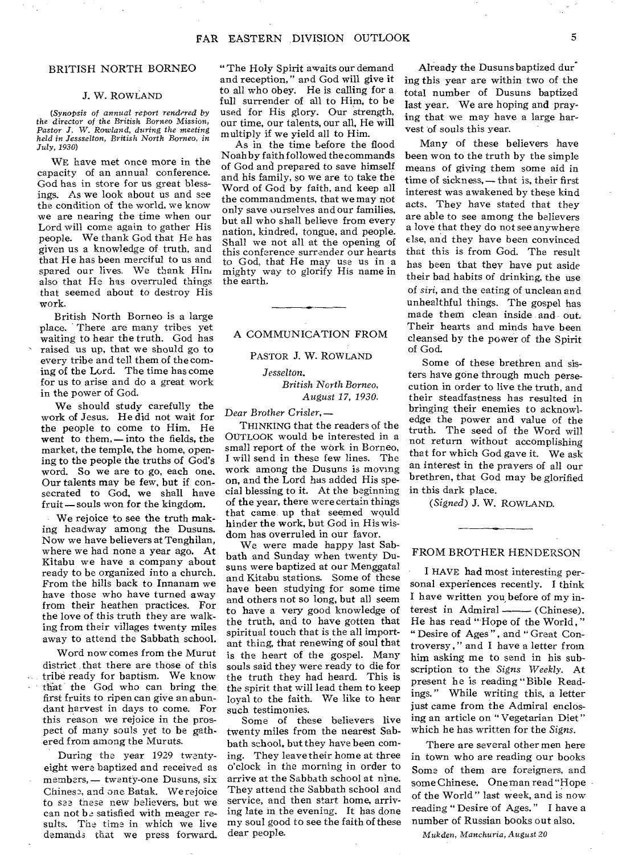# BRITISH NORTH BORNEO

#### J. W. ROWLAND

*(Synopsis of annual report rendered by*  the director of the British Borneo *Mission, Pastor J. W. Rowland, during the meeting held in Jessselton, British North Borneo, in July, 1930)* 

WE have met once more in the capacity of an annual conference. God has in store for us great blessings. As we look about us and see the condition of the world, we know we are nearing the time when our Lord will come again to gather His people. We thank God that He has given us a knowledge of truth, and that He has been merciful to us and spared our lives. We thank Him also that He has overruled things that seemed about to destroy His work.

British North Borneo is a large place. • There are many tribes yet waiting to hear the truth. God has raised us up, that we should go to every tribe and tell them of the coming of the Lord. The time has come for us to arise and do a great work in the power of God.

We should study carefully the work of Jesus. He did not wait for the people to come to Him. He went to them, — into the fields, the market, the temple, the home, opening to the people the truths of God's word. So we are to go, each one. Our talents may be few, but if consecrated to God, we shall have fruit—souls won for the kingdom.

We rejoice to see the truth making headway among the Dusuns. Now we have believers at Tenghilan, where we had none a year ago. At Kitabu we have a company about ready to be organized into a church. From the hills back to Innanam we have those who have turned away from their heathen practices. For the love of this truth they are walking from their villages twenty miles away to attend the Sabbath school.

Word now comes from the Murut district that there are those of this tribe ready for baptism. We know that the God who can bring the first fruits to ripen can give an abundant harvest in days to come. For this reason we rejoice in the prospect of many souls yet to be gathered from among the Muruts.

During the year 1929 twentyeight were baptized and received as members, - twenty-one Dusuns, six Chinese, and one Batak. We rejoice to see these new believers, but we can not be satisfied with meager results. The time in which we live demands that we press forward.

" The Holy Spirit awaits our demand and reception," and God will give it to all who obey. He is calling for a full surrender of all to Him, to be used for His glory. Our strength, our time, our talents, our all, He will multiply if we yield all to Him.

As in the time before the flood Noah by faith followed the commands of God and prepared to save himself and his family, so we are to take the Word of God by faith, and keep all the commandments, that we may not only save ourselves and our families, but all who shall believe from every nation, kindred, tongue, and people. Shall we not all at the opening of this conference surrender our hearts to God, that He may use us in a mighty way to glorify His name in the earth.

### A COMMUNICATION FROM

#### PASTOR J. W. ROWLAND

# *Jesselton. British North Borneo, August 17, 1930.*

*Dear* Brother *Crisler,* —

THINKING that the readers of the OUTLOOK would be interested in a small report of the work in Borneo, I will send in these few lines. The work among the Dusuns is moving on, and the Lord has added His special blessing to it. At the beginning of the year, there were certain things that came up that seemed would hinder the work, but God in His wisdom has overruled in our favor.

We were made happy last Sabbath and Sunday when twenty Dusuns were baptized at our Menggatal and Kitabu stations. Some of these have been studying for some time and others not so long, but all seem to have a very good knowledge of the truth, and to have gotten that spiritual touch that is the all important thing, that renewing of soul that is the heart of the gospel. Many souls said they were ready to die for the truth they had heard. This is the spirit that will lead them to keep loyal to the faith. We like to hear such testimonies.

Some of these believers live twenty miles from the nearest Sabbath school, but they have been coming. They leave their home at three o'clock in the morning in order to arrive at the Sabbath school at nine. They attend the Sabbath school and service, and then start home, arriving late in the evening. It has done my soul good to see the faith of these dear people.

Already the Dusuns baptized dun. ing this year are within two of the total number of Dusuns baptized last year. We are hoping and praying that we may have a large harvest of souls this year.

Many of these believers have been won to the truth by the simple means of giving them some aid in time of sickness, — that is, their first interest was awakened by these kind acts, They have stated that they are able to see among the believers a love that they do not see anywhere else, and they have been convinced that this is from God. The result has been that they have put aside their bad habits of drinking, the use of *siri,* and the eating of unclean and unhealthful things. The gospel has made them clean inside and out. Their hearts and minds have been cleansed by the power of the Spirit of God.

Some of these brethren and sisters have gone through much persecution in order to live the truth, and their steadfastness has resulted in bringing their enemies to acknowledge the power and value of the truth. The seed of the Word will not return without accomplishing that for which God gave it. We ask an interest in the prayers of all our brethren, that God may be glorified in this dark place.

*(Signed)* J. W. ROWLAND.

# FROM BROTHER HENDERSON

I HAVE had most interesting personal experiences recently. I think I have written you, before of my interest in Admiral —— (Chinese). He has read "Hope of the World , " " Desire of Ages", and "Great Controversy , " and I have a letter from him asking me to send in his subscription to the *Signs Weekly.* At present he is reading "Bible Readings. " While writing this, a letter just came from the Admiral enclosing an article on " Vegetarian Diet" which he has written for the *Signs.* 

There are several other men here in town who are reading our books Some of them are foreigners, and some Chinese. One man read "Hope of the World " last week, and is now reading " Desire of Ages. " I have a number of Russian books out also.

Mukden, *Manchuria, August 20*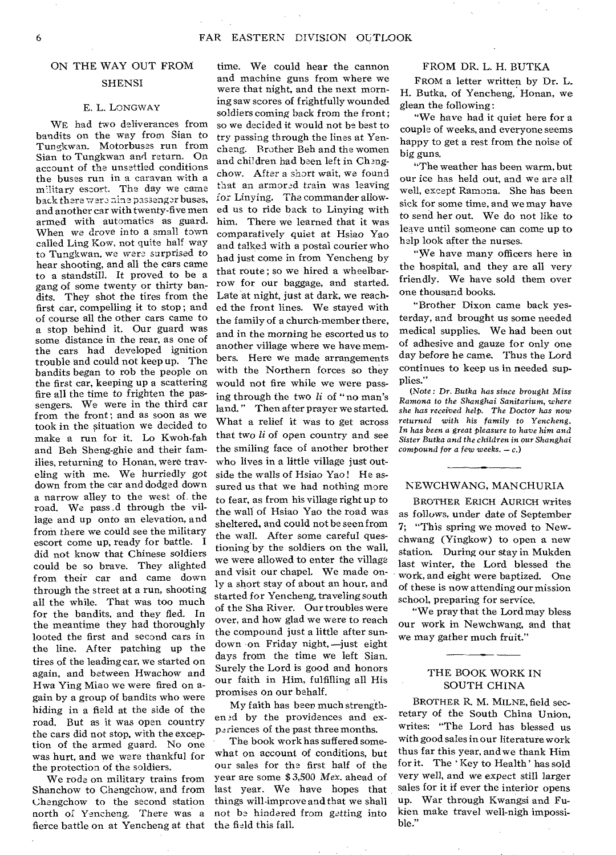# ON THE WAY OUT FROM

# **SHENSI**

### E. L. LONGWAY

WE had two deliverances from bandits on the way from Sian to Tungkwan. Motorbuses run from Sian to Tungkwan and return. On account of the unsettled conditions the buses run in a caravan with a military escort. The day we came back there were nine passenger buses, and another car with twenty-five men armed with automatics as guard. When we drove into a small town called Ling Kow, not quite half way to Tungkwan, we were, *surprised* to hear shooting, and all the cars came to a standstill. It proved to be a gang of some twenty or thirty bandits. They shot the tires from the first car, compelling it to stop ; and of course all the other cars came to a stop behind it. Our guard was some distance in the rear, as one of the cars had developed ignition trouble and could not keep up. The bandits began to rob the people on the first car, keeping up a scattering fire all the time to frighten the passengers. We were in the third car from the front; and as soon as we took in the situation we decided to make a run for it. Lo Kwoh-fah and Beh Sheng-ghie and their families, returning to Honan, were traveling with me. We hurriedly got down from the car and dodged down a narrow alley to the west of the road. We pass d through the village and up onto an elevation, and from there we could see the military escort come up; ready for battle. I did not know that Chinese soldiers could be so brave. They alighted from their car and came down through the street at a run, shooting all the while. That was too much for the bandits, and they fled. In the meantime they had thoroughly looted the first and second cars in the line. After patching up the tires of the leading car, we started on again, and between Hwachow and Hwa Ying Miao we were fired on again by a group of bandits who were hiding in a field at the side of the road. But as it was open country the cars did not stop, with the exception of the armed guard. No one was hurt, and we ware thankful for the protection of the soldiers.

We rode on military trains from Shanchow to Chengchow, and from Chengchow to the second station north of Yencheng. There was a fierce battle on at Yencheng at that

time. We could hear the cannon and machine guns from where we were that night, and the next morning saw scores of frightfully wounded soldiers coming back from the front; so we decided it would not be best to try passing through the lines at Yencheng. Brother Beh and the women and children had been left in Chengchow. After a short wait, we found that an armored train was leaving for Linying. The commander allowed us to ride back to Linying with him. There we learned that it was comparatively quiet at Hsiao Yao and talked with a postal courier who had just come in from Yencheng by that route ; so we hired a wheelbarrow for our baggage, and started. Late at night, just at dark, we reached the front lines. We stayed with the family of a church-member there, and in the morning he escorted us to another village where we have members. Here we made arrangements with the Northern forces so they would not fire while we were passing through the two */i* of "no man's land." Then after prayer we started. What a relief it was to get across that two */i* of open country and see the smiling face of another brother who lives in a little village just outside the walls of Hsiao Yao ! He assured us that we had nothing more to fear, as from his village right up to the wall of Hsiao Yao the road was sheltered, and could not be seen from the wall. After some careful questioning by the soldiers on the wall, we were allowed to enter the village and visit our chapel. We made only a short stay of about an hour, and started for Yencheng, traveling south of the Sha River. Our troubles were over, and how glad we were to reach the compound just a little after sundown on Friday night, —just eight days from the time we left Sian. Surely the Lord is good and honors our faith in Him, fulfilling all His promises on our behalf.

My faith has been much strengthen ed by the providences and experiences of the past three months.

The book work has suffered somewhat on account of conditions, but our sales for the first half of the year are some \$ 3,500 *Mex.* ahead of last year. We have hopes that things willimprove and that we shall not be hindered from getting into the field this fall.

### FROM DR. L. H. BUTKA

FROM a letter written by Dr. L. H. Butka, of Yencheng, Honan, we glean the following :

"We have had it quiet here for a couple of weeks, and everyone seems happy to get a rest from the noise of big guns.

"The weather has been warm, but our ice has held out, and we are all well, except Ramona. She has been sick for some time, and we may have to send her out. We do not like to leave until someone can come up to help look after the nurses.

"We have many officers here in the hospital, and they are all very friendly. We have sold them over one thousand books.

"Brother Dixon came back yesterday, and brought us some needed medical supplies. We had been out of adhesive and gauze for only one day before he came. Thus the Lord continues to keep us in needed supplies."

*(Note :* Dr. *Butka has since brought Miss Ramona to the Shanghai Sanitarium, where she has received help. The Doctor has now returned with his family to Yencheng. In has been a great pleasure to have him and Sister Butka and the children in* our *Shanghai compound for a few weeks. —* 

## NEWCHWANG, MANCHURIA

BROTHER ERICH AURICH writes as follows, under date of September 7; "This spring we moved to Newchwang (Yingkow) to open a new station. During our stay in Mukden last winter, the Lord blessed the work, and eight were baptized. One of these is now attending our mission school, preparing for service.

"We pray that the Lord may bless our work in Newchwang, and that we may gather much fruit."

# THE BOOK WORK IN SOUTH CHINA

BROTHER R. M. MILNE, field secretary of the South China Union, writes: "The Lord has blessed us with good sales in our literature work thus far this year, and we thank Him for it. The ' Key to Health' has sold very well, and we expect still larger sales for it if ever the interior opens up. War through Kwangsi and Fukien make travel well-nigh impossible."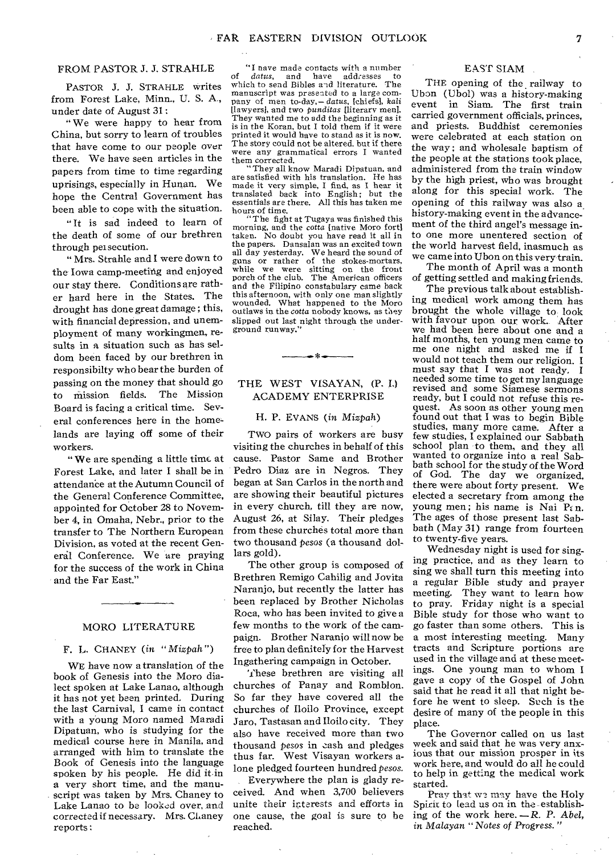# FROM PASTOR J. J. STRAHLE

PASTOR J. J. STRAHLE writes from Forest Lake, Minn., U. S. A., under date of August 31 :

" We were happy to hear from China, but sorry to learn of troubles that have come to our people over there. We have seen articles in the papers from time to time regarding uprisings, especially in Hunan. We hope the Central Government has been able to cope with the situation.

" It is sad indeed to learn of the death of some of our brethren through persecution.

" Mrs. Strahle and I were down to the Iowa camp-meeting and enjoyed our stay there. Conditions are rather hard here in the States. The drought has done great damage ; this, with financial depression, and unemployment of many workingmen, results in a situation such as has seldom been faced by our brethren in responsibilty who bear the burden of passing on the money that should go to mission fields. The Mission Board is facing a critical time. Several conferences here in the homelands are laying off some of their workers.

" We are spending a little time at Forest Lake, and later I shall be in attendance at the Autumn Council of the General Conference Committee, appointed for October 28 to November 4, in Omaha, Nebr., prior to the transfer to The Northern European Division, as voted at the recent General Conference. We are praying for the success of the work in China and the Far East."

# MORO LITERATURE

## F. L. CHANEY *(in* " Mizpah ")

WE have now a translation of the book of Genesis into the Moro dialect spoken at Lake Lanao, although it has not yet been printed. During the last Carnival, I came in contact with a young Moro named Maradi Dipatuan, who is studying for the medical course here in Manila, and arranged with him to translate the Book of Genesis into the language spoken by his people. He did it in a very short time, and the manuscript was taken by Mrs. Chaney to Lake Lanao to be looked over, and corrected if necessary. Mrs. Chaney reports :

"I nave made contacts with a number<br>datus, and have addresses to of *datus*, and have addresses to which to send Bibles and literature. The manuscript was presented to a large company of men to-day,— *datus,* [chiefs], *kali*  [lawyers], and two *punditas* [literary men]. They wanted me to add the beginning as it is in the Koran, but I told them if it were printed it would have to stand as it is now. The story could not be altered. but if there were any grammatical errors I wanted them corrected.

"They all know Maradi Dipatuan, and are satisfied with his translation. He has made it very simple, I find, as I hear it translated back into English; but the essentials are there. All this has taken me hours of time.

"The fight at Tugaya was finished this morning, and the cotta [native Moro fort] taken. No doubt you have read it all in the papers. Dansalan was an excited town all day yesterday. We heard the sound of guns or rather of the stokes-mortars, while we were sitting on the front porch of the club. The American officers and the Filipino constabulary came back this afternoon, with only one man slightly wounded. What happened to the Moro outlaws in the cotta nobody knows, as they slipped out last night through the underground runway.

# THE WEST VISAYAN, (P. I.) ACADEMY ENTERPRISE

ستخد

# H. P. EVANS (in Mizpah)

TWO pairs of workers are busy visiting the churches in behalf of this cause. Pastor Same and Brother Pedro Diaz are in Negros. They began at San Carlos in the north and are showing their beautiful pictures in every church, till they are now, August 26, at Silay. Their pledges from these churches total more than two thousand *pesos* (a thousand dollars gold).

The other group is composed of Brethren Remigo Cahilig and Jovita Naranjo, but recently the latter has been replaced by Brother Nicholas Roca, who has been invited to give a few months to the work of the campaign. Brother Naranjo will now be free to plan definitely for the Harvest Ingathering campaign in October.

These brethren are visiting all churches of Panay and Romblon. So far they have covered all the churches of Iloilo Province, except Jaro, Tastasan and Iloilo city. They also have received more than two thousand pesos in cash and pledges thus far. West Visayan workers alone pledged fourteen hundred *pesos.* 

Everywhere the plan is glady received. And when 3,700 believers unite their interests and efforts in one cause, the goal is sure to be reached.

# EAST SIAM

THE opening of the railway to Ubon (Ubol) was a history-making event in Siam. The first train carried government officials, princes, and priests. Buddhist ceremonies were celebrated at each station on the way; and wholesale baptism of the people at the stations took place, administered from the train window by the high priest, who was brought along for this special work. The opening of this railway was also a history-making event in the advancement of the third angel's message into one more unentered section of the world harvest field, inasmuch as we came into Ubon on this very train.

The month of April was a month of getting settled and making friends.

The previous talk about establishing medical work among them has brought the whole village to look with favour upon our work. After we had been here about one and a half months, ten young men came to me one night and asked me if I would not teach them our religion. I must say that I was not ready. I needed some time to get my language revised and some Siamese sermons ready, but I could not refuse this request. As soon as other young men found out that I was to begin Bible studies, many more came. After a few studies, I explained our Sabbath school plan to them, and they all wanted to organize into a real Sabbath school for the study of the Word of God. The day we organized, there were about forty present. We elected a secretary from among the young men; his name is Nai P $\epsilon$ n. The ages of those present last Sabbath (May 31) range from fourteen to twenty-five years.

Wednesday night is used for singing practice, and as they learn to sing we shall turn this meeting into a regular Bible study and prayer meeting. They want to learn how to pray. Friday night is a special Bible study for those who want to go faster than some others. This is a most interesting meeting. Many tracts and Scripture portions are used in the village and at these meetings. One young man to whom I gave a copy of the Gospel of John said that he read it all that night before he went to sleep. Such is the desire of many of the people in this place.

The Governor called on us last week and said that he was very anxious that our mission prosper in its work here, and would do all he could to help in getting the medical work started.

Pray that ws may have the Holy Spirit to lead us on in the-establishing of the work here. *—R. P. Abel, in Malayan "Notes of Progress. "*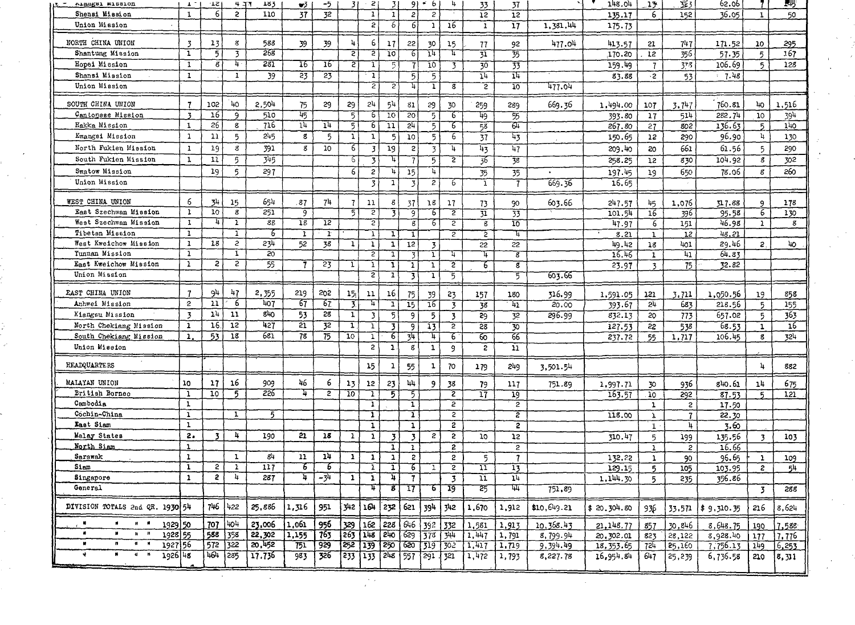| АІВИКВІ МІБВІОД                                            | $\mathbf{L}$                 | - 21                    | 4.37                    | 183             | w3              | -5              | 31              | 2                       | 31                       | 91                      | $\cdot$ 6      | 4                       | 33                       | 37                       |             | 148.04      | 13                              | 323                 | 62.06           |                | 545             |
|------------------------------------------------------------|------------------------------|-------------------------|-------------------------|-----------------|-----------------|-----------------|-----------------|-------------------------|--------------------------|-------------------------|----------------|-------------------------|--------------------------|--------------------------|-------------|-------------|---------------------------------|---------------------|-----------------|----------------|-----------------|
| Shensi Mission                                             | $\mathbf{I}$                 | 6 <sup>1</sup>          | $\mathbf{c}$            | 110             | 37              | 32              |                 | $\mathbf{1}$            | $\mathbf{1}$             | 2                       |                |                         | 12                       | 12                       |             | 135.17      | 6                               | 152                 | 36.05           | $\mathbf{1}$   | 50              |
| Union Mission                                              |                              |                         |                         |                 |                 |                 |                 | $\mathbf{r}$            | 6                        | 6                       | $\mathbf{1}$   | 16                      | $\mathbf{I}$             | $\overline{17}$          | 1,381.44    | 175.73      |                                 |                     |                 |                |                 |
| NORTH CHINA UNION                                          |                              | 13                      | $\mathbf{g}$            | 588             |                 | 39              | 4               | 6                       |                          | 22                      |                |                         |                          |                          |             |             |                                 |                     |                 |                |                 |
| Shantung Mission                                           | $\overline{\mathbf{3}}$<br>ī | $\overline{5}$          | $\overline{\mathbf{3}}$ | 268             | 39              |                 | ट               | Ξ.                      | 17<br>10                 | 6                       | 30<br>74       | 15<br>℡                 | 77                       | 92                       | 477.04      | 413.57      | 21<br>12                        | 747<br>356          | 171.52          | 10<br>5        | 295<br>167      |
| Hopei Mission                                              | $\overline{\mathbf{1}}$      | $\boldsymbol{s}$        | 4.                      | 281             | 16              | $\overline{16}$ |                 |                         |                          |                         |                |                         | $\overline{31}$          | 35                       |             | 170.20      |                                 |                     | 57.35<br>106.69 |                | 128             |
|                                                            | $\mathbf 1$                  |                         | $\mathbf{I}$            |                 |                 |                 | $\mathbf{S}$    | 1                       | 5                        | 7                       | 10             | 3                       | $\overline{30}$          | 33                       |             | 159.49      | $\mathbf{7}$                    | 378                 |                 | 5              |                 |
| Shansi Mission<br>Union Mission                            |                              |                         |                         | 39              | $\overline{23}$ | 23              |                 | T<br>2                  | 2                        | 5<br>Л                  | 5              |                         | 14                       | 14                       |             | 83.88       | $\cdot$ 2                       | 53                  | 7.48            |                |                 |
|                                                            |                              |                         |                         |                 |                 |                 |                 |                         |                          |                         | $\mathbf{1}$   | $\overline{\mathbf{g}}$ | 2                        | 10                       | 1177.04     |             |                                 |                     |                 |                |                 |
| SOUTH CHINA UNION                                          | 7                            | 102                     | 40                      | 2,504           | 75              | 29              | 29              | 24                      | 54                       | 81                      | 29             | 30                      | 259                      | 289                      | 669.36      | 1,494.00    | 107                             | 3,747               | 760.81          | 40             | 1,516           |
| Cantonese Mission                                          | $\overline{3}$               | 16                      | 9                       | 510             | দ্য             |                 | 5               | 6                       | $\overline{10}$          | $\overline{20}$         | 5              | 6                       | 49                       | 55                       |             | 393.80      | 17                              | 514                 | 282.74          | 10             | 394             |
| Hakka Mission                                              | $\mathbf{1}$                 | 26                      | 8                       | 716             | $\overline{14}$ | 1 <sup>h</sup>  | $\overline{5}$  | 6                       | $\overline{11}$          | 24                      | 5              | 76                      | 53                       | 6म                       |             | 267.80      | 27                              | 802                 | 136.63          | 5              | 140             |
| Kwangsi Mission                                            | $\mathbf{1}$                 | $\overline{11}$         | 5                       | 245             | 8               | 5               | 1               | $\mathbf{1}$            | 5                        | 10                      | 5              | 6                       | 37                       | 43                       |             | 150.65      | 12                              | 290                 | 96.90           | 4              | 130             |
| North Fukien Mission                                       | $\mathbf{1}$                 | 19                      | s.                      | 391             | 8               | 10 <sup>°</sup> | $\overline{6}$  | 3                       | 19                       | $\overline{c}$          | $\overline{3}$ | 4                       | 43                       | $\overline{47}$          |             | 209.40      | 20                              | 661                 | 61.56           | 5              | 290             |
| South Fukien Mission                                       | $\overline{1}$               | 11                      | 5                       | 345             |                 |                 | 6               | 3.                      | 4                        | -7                      | -5             | $\overline{2}$          | 36                       | 38                       |             | 258.25      | 12                              | 830                 | 104.92          | 8              | 302             |
| Swatow Mission                                             |                              | 19                      | 5                       | 297             |                 |                 | 6               | 2                       | $\vert \mathbf{u} \vert$ | 15                      | u.             |                         | 35                       | $\overline{35}$          | $\bullet$   | 197.45      | 19                              | 650                 | 78.06           | 8              | 260             |
| Union Mission                                              |                              |                         |                         |                 |                 |                 |                 | $\overline{\mathbf{3}}$ | 1                        | 3                       | 2              | 6                       | ı                        | 7                        | 669.36      | 16.65       |                                 |                     |                 |                |                 |
|                                                            |                              |                         |                         |                 |                 |                 |                 |                         |                          |                         |                |                         |                          |                          |             |             |                                 |                     |                 |                |                 |
| WEST CHINA UNION                                           | 6                            | 34                      | 15                      | 65h             | 87              | 74              | $\overline{7}$  | 11                      | 8                        | 37                      | 16             | 17                      | 73                       | 90                       | 603.66      | 247.57      | 45                              | 1,076               | 317.88          | 9              | 175             |
| East Szechwan Mission                                      | $\overline{\mathbf{1}}$      | 10                      | 8                       | 251             | 9               |                 | 51              | 2                       | 3                        | $\overline{9}$          | 6              | $\overline{2}$          | $\overline{\mathbf{31}}$ | $\overline{33}$          |             | 101.54      | 16                              | 396                 | 95.58           | $\overline{6}$ | 130             |
| West Szechwan Mission                                      | $\mathbf{1}$                 | 4                       | $\overline{1}$          | 88              | $\overline{18}$ | $\overline{12}$ |                 | $\overline{2}$          |                          | $\boldsymbol{g}$        | 6              | $\overline{c}$          | ි                        | $\overline{10}$          |             | 47.97       | 6                               | 151                 | 46.98           | $\mathbf{1}$   | $\mathbf{g}$    |
| Tibetan Mission                                            | $\mathbf{1}$                 |                         | T                       | 75              | T               | $\mathbf{r}$    |                 | IJ                      | 11                       | T                       |                | $\overline{z}$          | $\overline{2}$           | ᠮ                        |             | 8.21        | $\overline{1}$                  | $\overline{12}$     | 48.21           |                |                 |
| West Kweichow Mission                                      | $\mathbf{1}$                 | 18                      | $\mathbf{c}$            | 234             | 52              | 38              | 1               | $\mathbf{1}$            | $\mathbf{1}$             | $\overline{12}$         | 3              |                         | 22                       | 22                       |             | 49.42       | 18                              | 401                 | 29.46           | 2.             | 40              |
| Tunnan Mission                                             | $\overline{\mathbf{1}}$      |                         | T                       | $\overline{50}$ |                 |                 |                 | 2                       |                          | 3                       | T              | 4                       | 4                        | $\overline{\mathcal{E}}$ |             | 16.46       | $\mathbf{1}$                    | 41                  | 64.83           |                |                 |
| East Kweichow Mission                                      | ï                            | $\overline{c}$          | $\overline{2}$          | 55              | 7               | 23              | ı               | T                       | $\mathbf{I}$             | -1                      | $\mathbf{I}$   | $\overline{2}$          | 6                        | ड                        |             | 23.97       | 3                               | 75                  | 32.82           |                |                 |
| Union Mission                                              |                              |                         |                         |                 |                 |                 |                 | ᡓ                       | 1                        | 3                       | T              | 5                       |                          | 5                        | 603.66      |             |                                 |                     |                 |                |                 |
| EAST CHINA UNION                                           | $\overline{1}$               | 94                      | 47                      | 2,355           | 219             | 202             | 15 <sub>1</sub> | $_{11}$                 | 16                       | 75                      | 39             | 23                      | 157                      | 180                      | 316.99      | 1,591.05    | 121                             | 3.711               | 1,050.56        | 19             | 858             |
| Anhwei Mission                                             | $\mathbf{c}$                 | 11                      | 6                       | 407             | 67              | 67              | 3.              | 4                       | $\mathbf{I}$             | $\overline{15}$         | 16             | $\overline{3}$          | 38                       | $\overline{41}$          | 20.00       | 393.67      | 5 <sup>h</sup>                  | 683                 | 218.56          | 5              | 155             |
| Kiangsu Mission                                            | $\overline{3}$               | 1 <sup>h</sup>          | 11                      | 840             | 53              | 28              | $\mathbf{1}$    | $\overline{3}$          | $\overline{5}$           | 9                       | $\overline{5}$ | $\overline{\mathbf{3}}$ | 29                       | 32                       | 296.99      | 832.13      | 20                              | 773                 | 657.02          | 5.             | 363             |
| North Chekiang Mission                                     | $\mathbf{1}$                 | 16                      | $\overline{12}$         | 427             | 21              | 32              | T               | ı                       | 3                        | 9                       | 13             | $\overline{2}$          | 28                       | 30                       |             | 127.53      | 22                              | 538                 | 68.53           | $\mathbf{1}$   | $\overline{16}$ |
| South Chekiang Mission                                     | $\mathbf{1}$                 | 53                      | 18                      | 681             | 78              | 75              | $10^{-}$        | $\mathbf 1$             | 6                        | उप                      | 11             | 76                      | ର                        | 66                       |             | 237.72      | 55                              | 1,717               | 106.45          | 8              | 324             |
| Union Mission                                              |                              |                         |                         |                 |                 |                 |                 | $\overline{2}$          | $\overline{1}$           | $\mathbf g$             | 1              | 9                       | $\overline{c}$           | $\overline{\mathbf{n}}$  |             |             |                                 |                     |                 |                |                 |
| <b>HEADQUARTERS</b>                                        |                              |                         |                         |                 |                 |                 |                 | 15                      | $\mathbf{1}$             | 55                      | $\mathbf{1}$   | 70                      | 179                      | 249                      | 3,501.54    |             |                                 |                     |                 | 4              | 882             |
|                                                            | 10                           |                         | 16                      |                 | 46              | 6               |                 |                         |                          |                         |                |                         |                          |                          |             |             |                                 |                     |                 |                |                 |
| MALAYAN UNION<br>British Borneo                            | $\overline{\mathbf{1}}$      | 17<br>$\overline{10}$   | $\overline{5}$          | 909<br>226      | ₮               | $\overline{2}$  | 13<br>10        | 12                      | 23                       | 44                      | 9              | 38                      | 79                       | 117                      | 751.89      | 1,997.71    | 30                              | 936                 | s40.61          | 14             | 675             |
| Cambodia                                                   | 1                            |                         |                         |                 |                 |                 |                 | T<br>T                  | 5                        | 3<br>1                  |                | 2<br>$\overline{2}$     | $\overline{17}$          | 19<br>$\overline{2}$     |             | 163.57      | $\overline{10}$<br>$\mathbf{1}$ | 292                 | 87.53           | 5              | 121             |
| Cochin-China                                               | $\mathbf{I}$                 |                         | $\mathbf{I}$            | -5              |                 |                 |                 | T                       |                          | $\overline{\mathbf{1}}$ |                | $\overline{2}$          |                          | ᡓ                        |             | 118.00      | $\mathbf{y}$                    | 2<br>$\overline{1}$ | 17.50<br>22.30  |                |                 |
| East Siam                                                  | $\mathbf{1}$                 |                         |                         |                 |                 |                 |                 | T                       |                          | $\mathbf{1}$            |                | 2                       |                          | $\overline{2}$           |             |             | 1.                              | 4                   | 3.60            |                |                 |
| Malay States                                               | 2.5                          | $\overline{\mathbf{3}}$ | 4                       | 190             | 21              | 18              | $\mathbf{1}$    | $\mathbf{r}$            | J.                       | $\overline{\mathbf{3}}$ | $\mathbf{z}$   | 5                       | 10                       | 12                       |             | 310.47      | 5                               | 199                 | 135.56          | $\overline{3}$ | 103             |
| North Siam                                                 | $\mathbf{1}$                 |                         |                         |                 |                 |                 |                 |                         | $\mathbf{1}$             | $\mathbf{1}$            |                | $\overline{2}$          |                          | $\overline{2}$           |             |             | $\mathbf{1}$                    | 2                   | 16.66           |                |                 |
| Sarawak                                                    | $\mathbf{1}$                 |                         | $\mathbf{1}$            | 84              | 11              | 14              | $\mathbf 1$     | $\mathbf{1}$            | 1                        | 2                       |                | 2                       | 5                        | $\overline{7}$           |             | 132.22      | $\mathbf{1}$                    | 90                  | 96.65           | $\mathbf{1}$   | 109             |
| Siam                                                       | ī                            | 2                       | $\mathbf{1}$            | 117             | 6               | 6               |                 | T                       | ı                        | 6                       | 1              | $\overline{2}$          | $\overline{11}$          | 13                       |             | 129.15      | 5.                              | 105                 | 103.95          | $\mathbf{c}$   | 54              |
| Singapore                                                  | $\mathbf{1}$                 | $\mathbf{z}$            | 4                       | 287             | 4               | - 34            | 1               | $\mathbf{1}$            | 'n                       | 7                       |                | $\overline{3}$          | $\overline{11}$          | 14                       |             | 1,144.30    | 5.                              | 235                 | 356.86          |                |                 |
| General                                                    |                              |                         |                         |                 |                 |                 |                 | ų                       |                          | 17                      | 6              | 79                      | 25                       | ₩                        | 751,89      |             |                                 |                     |                 | 3              | 288             |
|                                                            |                              |                         |                         |                 |                 |                 |                 |                         |                          |                         |                |                         |                          |                          |             |             |                                 |                     |                 |                |                 |
| DIVISION TOTALS 2nd QR. 1930 54                            |                              | 746                     | 422                     | 25,886          | 1,316           | 951             |                 | 342 164                 | 232                      | 621                     | 394            | 342                     | 1,670                    | 1,912                    | \$10,649.21 | \$20.304.60 | 936                             | 33.571              | \$9,310.35      | 216            | 8,624           |
| $\blacksquare$<br>$\blacksquare$<br>1929 50                |                              | 707                     | 404                     | 23,006          | 1.061           | 956             | 329             | 162                     | 226                      | 646                     | 392            | 332                     | 1,561                    | 1,913                    | 10, 368.43  | 21, 148, 77 | 857                             | 30,846              | 8,648.75        | 190            | 7,588           |
| и<br>н.<br>$\mathbf{h} = \mathbf{0}$<br>1928 55            |                              | 588                     | 358                     | 22,302          | 1,155           | 763             | 263             | 148                     | $2^{10}$                 | 629                     | 378            | 1344                    | 1,447                    | 1,791                    | 8,799.94    | 20,302.01   | 823                             | 28,122              | 8,928.40        | 177            | 7.776           |
| a a<br>$\pmb{u}$<br>п<br>1927 56                           |                              | 572                     | 322                     | 20,452          | 751             | 929             | 252             | 139                     | 250                      | 620                     | 319            | 302                     | 1,417                    | 1,719                    | 9,394.49    | 18, 353.65  | 724                             | 25,160              | 7,756.13        | 149            | 6,253           |
| $\ddot{\phantom{0}}$<br>$\mathbf{q}=\mathbf{n}$<br>1926 48 |                              | 464                     | 285                     | 17.736          | 983             | 326             | 233             | $133$ $248$             |                          | 557                     | 291, 321       |                         | 1,472                    | 1,793                    | 8,227.78    | 16,954.84   | 647                             | 25,239              | 6,736.58        | 210            | 8,311           |
|                                                            |                              |                         |                         |                 |                 |                 |                 |                         |                          |                         |                |                         |                          |                          |             |             |                                 |                     |                 |                |                 |

t<br>F

k)<br>S

 $\frac{1}{2}$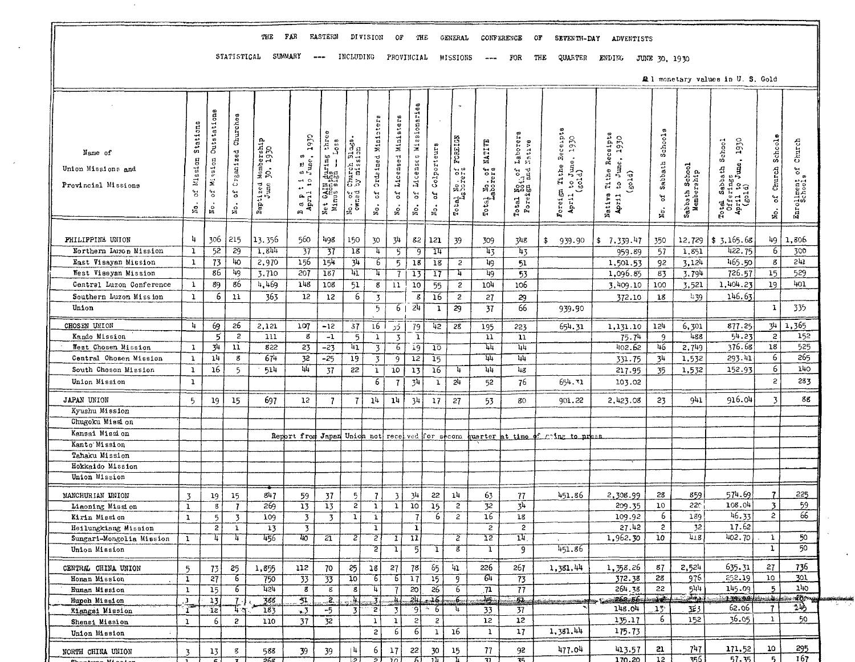# THE FAR EASTERN DIVISION OF THE GENERAL CONFERENCE OF SEVENTH-DAY ADVENTISTS

STATISTICAL SUMMARY --- INCLUDING PROVINCIAL MISSIONS --- FOR THE QUARTER ENDING JUNE 30, 1930

 $\alpha$ 

All monetary values in U.S. Gold

|                          | Stations       | Outstations             | Churches            |                        |                                                                                                                                                                     |                                    |                             | Ministers         | Ministers       | Missionaries        |                     |                          |                             |                                                       |                                  |                   |                 |                              |                                                  |                       |               |
|--------------------------|----------------|-------------------------|---------------------|------------------------|---------------------------------------------------------------------------------------------------------------------------------------------------------------------|------------------------------------|-----------------------------|-------------------|-----------------|---------------------|---------------------|--------------------------|-----------------------------|-------------------------------------------------------|----------------------------------|-------------------|-----------------|------------------------------|--------------------------------------------------|-----------------------|---------------|
|                          |                |                         |                     |                        | 1930                                                                                                                                                                | three                              |                             |                   |                 |                     |                     |                          |                             |                                                       |                                  | 1930              |                 |                              |                                                  |                       |               |
| Name of                  |                |                         |                     | Mambership<br>30, 1930 |                                                                                                                                                                     | $\frac{1}{2}$ os s                 | Church Blags.<br>by mission |                   |                 |                     | Colporteurs         | FOREIGN                  | NATIVE                      | Laborers<br>Native                                    | s Receipts<br>1e, 1930           | Tithe Recaipts    | Schools         |                              | ss<br>June, 1930<br>School                       | Schoole               | Church        |
| Union Missions and       | Mission        | Mission                 | Craamized           |                        | $\begin{smallmatrix} 5 & \mathfrak{m} & \mathfrak{s} \\ \mathfrak{s} & \mathfrak{m} & \mathfrak{s} \\ \mathfrak{l} & \mathfrak{m} & \mathfrak{e} \end{smallmatrix}$ | Net GAIN during<br>Minus sign -- L |                             | Ordeined          | Licensed        | <b>Li</b> censes    |                     |                          |                             |                                                       | $\frac{1}{2}$ to June.           | to June,          |                 |                              |                                                  |                       |               |
|                          |                |                         |                     |                        | $\frac{4}{1}$ $\frac{6}{1}$                                                                                                                                         |                                    |                             |                   |                 |                     |                     |                          | arers<br>Jo                 |                                                       | Tithe                            | (g01d)            | Sabbath         |                              |                                                  | Church                | $\mathbf{S}$  |
| Provincial Missions      | 5°             | ٩j                      | ă                   |                        | $\ddot{\phantom{1}}$                                                                                                                                                |                                    |                             | مبر<br>م          | ď               |                     |                     |                          |                             |                                                       |                                  |                   |                 |                              | Sabbath                                          |                       |               |
|                          |                |                         |                     | Baptized<br>June       | $\frac{1}{2}$                                                                                                                                                       |                                    | No. of                      |                   |                 | 5°                  | đ                   | Total No. of<br>Laborers | Total Mo.<br>Labor          | Total No <sub>th</sub> of :<br>Foreign and :<br>Total | Foreign<br>April                 | Native<br>April 1 | ď               |                              |                                                  | $\mathfrak{S}$        |               |
|                          | $\mathbb{S}$   | No.                     | $\frac{\dot{o}}{2}$ |                        | m                                                                                                                                                                   | Net <sub></sub>                    |                             | $\mathbf{N}_0$ .  | No.             | No.                 | $\mathbbmss{S}$ .   |                          |                             |                                                       |                                  |                   | No.             | Sabbath School<br>Membership | Total Sabba<br>Offerings<br>April to J<br>(gold) | No.                   | Enrollment or |
|                          |                |                         |                     |                        |                                                                                                                                                                     |                                    |                             |                   |                 |                     |                     |                          |                             |                                                       |                                  |                   |                 |                              |                                                  |                       |               |
| PHILIPPINE UNION         | ц              | 306                     | 215                 | 13, 356                | 560                                                                                                                                                                 | 498                                | 150                         | 30                | 34              | 82                  | 121                 | 39                       | 309                         | 748                                                   | 939.90<br>\$                     | 7.339.47<br>\$.   | 350             | 12,729                       | \$3,165.68                                       | 49                    | 1.806         |
| Northern Luzon Mission   | ı              | 52                      | 29                  | 1,844                  | 37                                                                                                                                                                  | 37                                 | 18                          | 4                 | 5               | 9                   | 74                  |                          | ৸য়                         | 43                                                    |                                  | 959.89            | 57              | 1,851                        | 422.75                                           | -6                    | 300           |
| East Visayan Mission     | $\mathbf{1}$   | 73                      | 40                  | 2,970                  | 156                                                                                                                                                                 | 154                                | 34                          | 6                 | 5               | 18                  | 18                  | $\overline{c}$           | 49                          | 51                                                    |                                  | 1,501.53          | 92              | 3.124                        | 465.50                                           | g                     | 511           |
| West Vissyan Mission     |                | 86                      | 4g                  | 3,710                  | 207                                                                                                                                                                 | $\overline{187}$                   | 冚                           | Ŧ                 | 7               | 13                  | 17                  | ų                        | 49                          | 53                                                    |                                  | 1,096.85          | 83              | 3.794                        | 726.57                                           | 15                    | 529           |
| Central Luzon Conference | 1              | 89                      | 86                  | 4,469                  | 148                                                                                                                                                                 | 108                                | 51                          | 8                 | 11              | 10                  | 55                  | $\overline{c}$           | 104                         | 106                                                   |                                  | 3.409.10          | 100             | 3,521                        | 1,404.23                                         | 19                    | 401           |
| Southern Luzon Mission   | $\mathbf{1}$   | 6                       | 11                  | 363                    | 12                                                                                                                                                                  | 12                                 | 6                           | $\overline{3}$    |                 | इ                   | $\overline{16}$     | $\overline{c}$           | 27                          | 29                                                    |                                  | 372.10            | 18              | 4.39                         | 146.63                                           |                       |               |
| Union                    |                |                         |                     |                        |                                                                                                                                                                     |                                    |                             | 5                 | 6               | 24                  | 1                   | 29                       | 37                          | 66                                                    | 939.90                           |                   |                 |                              |                                                  | $\mathbf{1}$          | 335           |
| CHOSEN UNION             | 4              | 69                      | 26                  | 2,121                  | 107                                                                                                                                                                 | -12                                | 37                          | 16                | ذر              | 79                  | 42                  | 28                       | 195                         | 223                                                   | 654.31                           | 1,131.10          | 157             | 6,301                        | 877.25                                           | 34                    | 1,365         |
| Kando Mission            |                | 5                       | $\overline{c}$      | 111                    | g                                                                                                                                                                   | $-1$                               | 5                           | 1                 | $\overline{3}$  | ī                   |                     |                          | $\overline{11}$             | $\overline{11}$                                       |                                  | 75.74             | 9               | 488                          | 54.23                                            | $\overline{c}$        | 152           |
| West Chosen Mission      | $\mathbf{1}$   | 34                      | 11                  | 822                    | 23                                                                                                                                                                  | $-23$                              | $\overline{\mathbf{u}_1}$   | 3                 | 6               | $\overline{19}$     | 10                  |                          | 44                          | 44                                                    |                                  | 402.62            | 46              | 2,749                        | 376.68                                           | 18                    | 525           |
| Central Ohosen Mission   | $\mathbf{1}$   | 14                      | 8                   | 674                    | 32                                                                                                                                                                  | -25                                | 19                          | 3                 | 9               | 12                  | 15                  |                          | 14                          | 44                                                    |                                  | 331.75            | 34              | 1,532                        | 293.41                                           | $\overline{6}$        | 265           |
| South Chosen Mission     | ı              | 16                      | 5                   | 514                    | 44                                                                                                                                                                  | 37                                 | 22                          | $\bf{1}$          | 10              | 13                  | 16                  | 4                        | 111                         | 48                                                    |                                  | 217.95            | 35              | 1,532                        | 152.93                                           | 6                     | 140           |
| Union Mission            | $\mathbf 1$    |                         |                     |                        |                                                                                                                                                                     |                                    |                             | 6                 | 7               | 34                  | $\mathbf{1}$        | 2 <sup>h</sup>           | 52                          | 76                                                    | 654.31                           | 103.02            |                 |                              |                                                  | $\overline{c}$        | 283           |
| JAPAN UNION              | $5^{\circ}$    | 19                      | 15                  | 697                    | 12                                                                                                                                                                  | $\overline{1}$                     | $\mathbf{7}$                | 14                | 14              | 34                  | 17                  | 27                       | 53                          | 80                                                    | 901.22                           | 2,423.08          | 23              | 941                          | 916.04                                           | 3                     | 88            |
| Kyushu Mission           |                |                         |                     |                        |                                                                                                                                                                     |                                    |                             |                   |                 |                     |                     |                          |                             |                                                       |                                  |                   |                 |                              |                                                  |                       |               |
| Chugoku Mission          |                |                         |                     |                        |                                                                                                                                                                     |                                    |                             |                   |                 |                     |                     |                          |                             |                                                       |                                  |                   |                 |                              |                                                  |                       |               |
| Kansai Mission           |                |                         |                     |                        | Report from Japan Union not received for second                                                                                                                     |                                    |                             |                   |                 |                     |                     |                          |                             |                                                       | quarter at time of ming to press |                   |                 |                              |                                                  |                       |               |
| Kanto Mission            |                |                         |                     |                        |                                                                                                                                                                     |                                    |                             |                   |                 |                     |                     |                          |                             |                                                       |                                  |                   |                 |                              |                                                  |                       |               |
| Tahaku Mission           |                |                         |                     |                        |                                                                                                                                                                     |                                    |                             |                   |                 |                     |                     |                          |                             |                                                       |                                  |                   |                 |                              |                                                  |                       |               |
| Hokkaido Mission         |                |                         |                     |                        |                                                                                                                                                                     |                                    |                             |                   |                 |                     |                     |                          |                             |                                                       |                                  |                   |                 |                              |                                                  |                       |               |
| Union Mission            |                |                         |                     |                        |                                                                                                                                                                     |                                    |                             |                   |                 |                     |                     |                          |                             |                                                       |                                  |                   |                 |                              |                                                  |                       |               |
| MANCHURIAN UNION         | $\overline{3}$ | 19                      | 15                  | 847                    | 59                                                                                                                                                                  | 37                                 | 5                           | $\overline{7}$    | 3               | 34                  | 22                  | 1 <sup>h</sup>           | 63                          | 77                                                    | 451.86                           | 2,308.99          | 28              | 859                          | 574.69                                           | $\overline{7}$        | 225           |
| Liaoning Mission         | $\overline{1}$ | $\overline{\mathbf{g}}$ | $\mathbf{7}$        | 269                    | 13                                                                                                                                                                  | $\overline{13}$                    | 2                           | $\mathbf{u}$      | $\mathbf 1$     | 10                  | $\overline{15}$     | $\overline{2}$           | 32                          | 34                                                    |                                  | 209.35            | 10              | 220                          | 108.04                                           | 3                     | 59            |
| Kirin Mission            | $\mathbf{1}$   | 5                       | $\overline{3}$      | 109                    | $\overline{\mathbf{3}}$                                                                                                                                             | 3                                  | 1                           | $\mathbf{1}$      |                 |                     | 6                   | $\mathbf{2}$             | 16                          | 18                                                    |                                  | 109.92            | 6               | 189                          | 46.33                                            | $\mathbf{c}$          | 66            |
| Heilungkiang Mission     |                | $\overline{2}$          | $\mathbf{1}$        | 13                     | $\overline{\mathbf{3}}$                                                                                                                                             |                                    |                             | ı                 |                 | ı                   |                     |                          | $\overline{2}$              | $\overline{2}$                                        |                                  | 27.42             | $\overline{c}$  | 32                           | 17.62                                            |                       |               |
| Sungari-Mongolia Mission | $\mathbf{1}$   | 4                       | 4                   | 456                    | 40                                                                                                                                                                  | $\overline{z_1}$                   | 2                           | 2                 | 1               | π                   |                     | $\overline{z}$           | 12                          | $\overline{14}$                                       |                                  | 1,962.30          | 10              | 418                          | 402.70                                           | $\mathbf{1}$          | 50            |
| Union Mission            |                |                         |                     |                        |                                                                                                                                                                     |                                    |                             | 2                 | ı               | 5                   | ı                   | ह                        | ī                           | ġ.                                                    | 451.86                           |                   |                 |                              |                                                  | ī                     | 50            |
| CENTRAL CHINA UNION      | 5              | 73                      | 25                  | 1,855                  | 112                                                                                                                                                                 | 70                                 | 25                          | 18                | 27              | 78                  | 65                  | 41                       | 226                         | 267                                                   | 1,381.44                         | 1,358.26          | 87              | 2,524                        | 635.31                                           | 27                    | 736           |
| Honan Mission            | -1             | 27                      | ъ                   | 750                    | 33                                                                                                                                                                  | $\overline{33}$                    | $\overline{10}$             | 76                | 6               | $\overline{17}$     | 15                  | प                        | ठ्म                         | 73                                                    |                                  | 372.38            | 28              | 976                          | 252.19                                           | 10                    | 301           |
| Hunan Mission            | $\mathbf{1}$   | 15                      | $\epsilon$          | 1151                   | $\overline{\mathbf{g}}$                                                                                                                                             | $\overline{g}$                     | $\overline{\mathcal{E}}$    | 4                 |                 | $\overline{20}$     | 26                  | 76                       | $\overline{\mathbf{u}}$     | $\overline{77}$                                       |                                  | 264.38            | 22              | 544<br>$\frac{1}{2}$         | 145.09                                           | 5                     | 140           |
| Hupeh Mission            | L,             | 13                      | 7.                  | 388                    | 31                                                                                                                                                                  | 2.                                 | 4.                          |                   | J,              | 24.                 | 16<br>A,            | ينځ.                     | -15                         | 51                                                    |                                  | 262.56<br>148.04  | $15^{\circ}$    | 323                          | 139.90<br>62.06                                  | حقائة<br>$\mathbf{7}$ | doma<br>ોખે   |
| Kiangsi Mission          | ĩ              | 12                      | 47                  | 183                    | $\sim$ 3                                                                                                                                                            | -5                                 | $\overline{\mathbf{3}}$     | ٠2                | 3<br>J.         | ۰9<br>$\mathcal{P}$ | -6                  | 4                        | 33<br>12                    | 37<br>12                                              |                                  |                   | 6               | 152                          | 36.05                                            | 1                     | 50            |
| Shensi Mission           | $\mathbf{1}$   | 6                       | 5                   | 110                    | 37                                                                                                                                                                  | 32                                 |                             | 1<br>$\mathbf{c}$ | 6               | 6                   | $\overline{c}$<br>1 | 16                       | $\mathbf{1}$                | 17                                                    | 1,381.44                         | 135.17<br>175.73  |                 |                              |                                                  |                       |               |
| Union Mission            |                |                         |                     |                        |                                                                                                                                                                     |                                    |                             |                   |                 |                     |                     |                          |                             |                                                       |                                  |                   |                 |                              |                                                  |                       |               |
| NORTH CHINA UNION        | 3              | 13                      | g                   | 588                    | 39                                                                                                                                                                  | 39                                 | ۱4                          | 6                 | 17              | 22                  | 30                  | 15                       | 77                          | 92                                                    | 477.04                           | 413.57            | 21              | 747                          | 171.52                                           | 10                    | 295           |
|                          |                |                         | ≂                   | न्नद्रव                |                                                                                                                                                                     |                                    | ञि                          | সা                | $\overline{20}$ | 7                   | ᠊ᡵᡣ                 | ┰═                       | $\overline{\boldsymbol{v}}$ | $\overline{75}$                                       |                                  | 170.20            | 12 <sup>°</sup> | 755.                         | 57.35                                            | 5                     | 167           |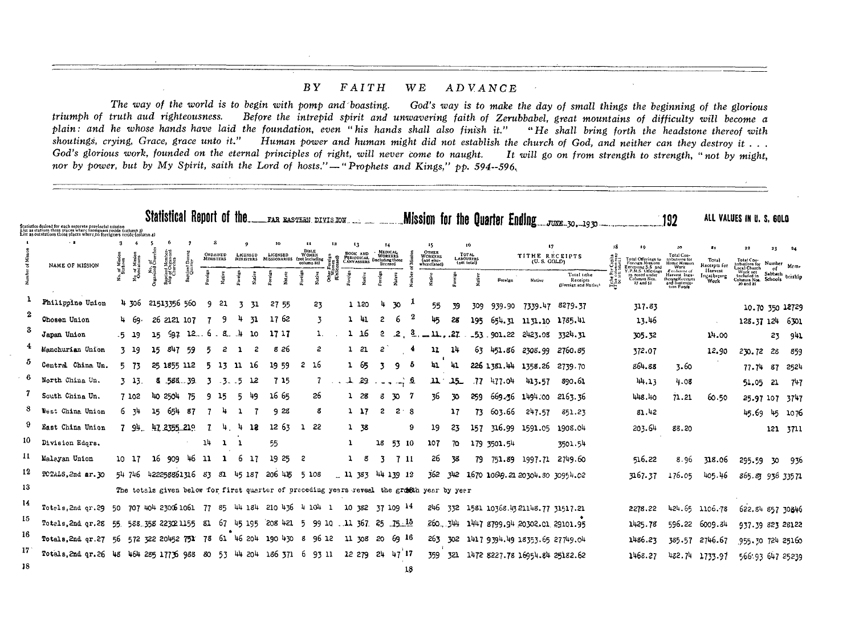#### $B\,Y$ FAITH **WE** ADVANCE

The way of the world is to begin with pomp and boasting. God's way is to make the day of small things the beginning of the glorious triumph of truth aud righteousness. Before the intrepid spirit and unwavering faith of Zerubbabel, great mountains of difficulty will become a plain: and he whose hands have laid the foundation, even "his hands shall also finish it." "He shall bring forth the headstone thereof with shoutings, crying, Grace, grace unto it." Human power and human might did not establish the church of God, and neither can they destroy it . . . God's glorious work, founded on the eternal principles of right, will never come to naught. It will go on from strength to strength, "not by might, nor by power, but by My Spirit, saith the Lord of hosts." - "Prophets and Kings," pp. 594--596,

|     |                                                                                                                                                                                                       |                                  | Statistical Report of the                                                     |            |                       |                                     |                   | FAR EASTERN DIVISION                                      |        |                                                    |                                                          |                       |                                              |              |                                          | Mission for the Quarter Ending. |                                 | JUNE 30.1930                                    |                                     |                                                                                        | 192                                                              |                                | ALL VALUES IN U. S. GOLD                                                                               |                                   |        |
|-----|-------------------------------------------------------------------------------------------------------------------------------------------------------------------------------------------------------|----------------------------------|-------------------------------------------------------------------------------|------------|-----------------------|-------------------------------------|-------------------|-----------------------------------------------------------|--------|----------------------------------------------------|----------------------------------------------------------|-----------------------|----------------------------------------------|--------------|------------------------------------------|---------------------------------|---------------------------------|-------------------------------------------------|-------------------------------------|----------------------------------------------------------------------------------------|------------------------------------------------------------------|--------------------------------|--------------------------------------------------------------------------------------------------------|-----------------------------------|--------|
|     | Statistics desired for each separate provincial mission<br>List as stations those places where foreigners reside (column 3)<br>List as outstations those places where no foreigners reside (column 4) |                                  |                                                                               |            |                       |                                     |                   |                                                           |        |                                                    |                                                          |                       |                                              |              |                                          |                                 |                                 |                                                 |                                     |                                                                                        |                                                                  |                                |                                                                                                        |                                   |        |
|     | $\cdot$ 2                                                                                                                                                                                             |                                  |                                                                               |            |                       |                                     |                   | ш<br><b>BIBLE</b>                                         | 12     | 13                                                 | $^{14}$                                                  |                       | 15<br><b>OTHER</b>                           |              |                                          |                                 | 17                              |                                                 |                                     | 19.                                                                                    |                                                                  | 1.5                            |                                                                                                        | 21                                |        |
|     | NAME OF MISSION                                                                                                                                                                                       | of Miss<br>Stations              | ింద్                                                                          |            | ORDAINED<br>MINISTERS | <b>LICENSED</b><br><b>MINISTERS</b> | LICENSED          | <b>WOMEN</b><br>MISSIONARIES (pot including<br>column IO) |        | Воок лив<br><b>PERIODICAL</b><br><b>CANVASSERS</b> | MEDICAL<br>WORKERS<br>Gneluding those<br><b>ficensed</b> |                       | <b>WORKERS</b><br>(not else-<br>wherelisted) |              | TOTAL<br><b>LABOURERS</b><br>(get total) |                                 | TITHE RECEIPTS<br>(U.S. GOLD)   |                                                 |                                     | Total Offerings to<br>Foreign Missions                                                 | Total Con-<br>tributions for<br>Home Mission<br>Work             | Total<br>Receipts for          |                                                                                                        | Number                            | Mem-   |
|     |                                                                                                                                                                                                       | No of Missio<br>Oristations<br>£ | $\frac{M}{G}$<br>2 <sub>1</sub><br>ä                                          | Baptized 1 | Native                | į                                   |                   | Native<br>ă                                               | é<br>ã | orciga<br>Native                                   |                                                          |                       | Í                                            |              |                                          | Foreign                         | Native                          | Total tithe<br>Receipts<br>(Foreign and Native) | Tribe Per<br>Thus colu<br>be sett l | Executing 5.5 and<br>Y.P.M.S. Offerings<br>as noted under<br>Columns Nos.<br>27 and 51 | Exchange of<br>Harvest Ings-<br>thering Receipts<br>and Sustents | Harvest<br>Ingathering<br>Work | Total Con-<br>tributions for<br>Local Church<br>Work net<br>tricluded in<br>Colunins Not-<br>20 and 21 | of.<br>Sabbath bership<br>Schools |        |
|     | Philippine Union                                                                                                                                                                                      | 4306                             | 21513356 560                                                                  |            | 21<br>9               | 31<br>3                             | 27 55             | 23                                                        |        | 1 1 2 0                                            |                                                          | 70                    |                                              | 55<br>39     | 309                                      | 939.90                          | 7339.47                         | 8279.37                                         |                                     | 317.83                                                                                 |                                                                  |                                |                                                                                                        | 10.70 350 12729                   |        |
|     | Chosen Union                                                                                                                                                                                          | `Կ. 69։                          | 2121 107<br>26                                                                |            | 9                     | 4<br>31                             | 17 62             | -3                                                        |        | - 41<br>1                                          | 2                                                        | 6                     | lus,                                         | 28           | 195                                      | 654.31                          | 1131.10                         | 1785.41                                         |                                     | 13.46                                                                                  |                                                                  |                                | 128.37 124 6301                                                                                        |                                   |        |
|     | Japan Union                                                                                                                                                                                           | .5 19                            | 597<br>15                                                                     | 12.        | 8.<br>6               | .4<br>10                            | 17 17             |                                                           |        | 16                                                 | 2                                                        | 2                     | 茎                                            | .27<br>11.   |                                          | 53.901.22                       | 2423.08                         | 3324.31                                         |                                     | 305.32                                                                                 |                                                                  | 14.00                          |                                                                                                        | 23                                | 941    |
|     | Manchurian Union                                                                                                                                                                                      | $3 - 19$                         | 847<br>15                                                                     | -59        | 5<br>2                | 2                                   | 826               | 2                                                         |        | -21                                                | 2                                                        | 4                     | 11                                           | 14           | 63                                       | 451.86                          | 2308.99                         | 2760.85                                         |                                     | 372.07                                                                                 |                                                                  | 12.90                          | 230.72                                                                                                 | 28                                | 859    |
| 5   | Central China Un.                                                                                                                                                                                     | Б,<br>-73                        | 25, 1855, 112                                                                 |            | Б,<br>13              | -16<br>- 11                         | 19 59             | -16<br>$\mathbf{2}$                                       |        | 165                                                | -7                                                       | 9<br>5                | 41                                           | HT.          |                                          | 226 1381.44                     | 1358.26                         | 2739.70                                         |                                     | 864.88                                                                                 | 3.60                                                             |                                | 77.74                                                                                                  | 87                                | 2524   |
|     | North China Un.                                                                                                                                                                                       | 3 13                             | .588                                                                          | -39        | . 3                   | - 5<br>12                           | 7 15              |                                                           |        | -29<br>L,                                          |                                                          | $\mathbf{a}$<br>i way | щ                                            | س5لہ         | .77                                      | 477.04                          | 413.57                          | 890.61                                          |                                     | 144.13                                                                                 | 4.08                                                             |                                | 51.05                                                                                                  | 21                                | 747    |
|     | South China Un.                                                                                                                                                                                       | 7 102                            | 2504<br>40.                                                                   | 75         | -15<br>٩              | 49<br>5                             | 1665              | 26                                                        |        | - 28                                               | -8                                                       | 70                    |                                              | 36<br>30     | 259                                      | 669.36                          | 1494.00                         | 2163.36                                         |                                     | 148.40                                                                                 | 71.21                                                            | 60.50                          | 25.97 107 3747                                                                                         |                                   |        |
|     | West China Union                                                                                                                                                                                      | 6 34                             | 654<br>15                                                                     | -87        |                       |                                     | 9 28              | 8                                                         |        | $1 \frac{17}{10}$                                  | 2                                                        | 2<br>-8               |                                              | 17           | 73.                                      | 603.66                          | 247.57                          | 851.23                                          |                                     | 81.42                                                                                  |                                                                  |                                | 45.69                                                                                                  | 145                               | - 1076 |
|     | East China Union                                                                                                                                                                                      | 794                              | 47 2355 219                                                                   |            | -7<br>4.              | -13<br>4                            | 1263              | 22<br>1                                                   |        | 1 38                                               |                                                          | 9                     | 19                                           | 23           | 157                                      | 316.99                          | 1591.05                         | 1908.04                                         |                                     | 203.64                                                                                 | 88.20                                                            |                                |                                                                                                        | 121 3711                          |        |
| 10  | Division Edgrs.                                                                                                                                                                                       |                                  |                                                                               |            | 14<br>-1              |                                     | 55                |                                                           |        | 1                                                  | 18                                                       | 53<br>10              | 107                                          | 70           |                                          | 179 3501.54                     |                                 | 3501.54                                         |                                     |                                                                                        |                                                                  |                                |                                                                                                        |                                   |        |
| 11  | Malayan Union                                                                                                                                                                                         | 10 17                            | 16<br>909                                                                     | 46         | -11<br>ı              | 6<br>-17                            | 25<br>19          | 2                                                         |        | 8                                                  | -3                                                       | 7 11                  | 26                                           | 38           | 79                                       | 751.89                          | 1997.71                         | 2749.60                                         |                                     | 516.22                                                                                 | 8.96                                                             | 318.06                         | 295.59                                                                                                 | 30                                | -936   |
| 12  | TOTALS, 2nd ar. 30                                                                                                                                                                                    | 54 746                           | 422258861316                                                                  |            | 83<br>81              | 45 187                              | 415<br>-206       | 5 108                                                     |        | $-11, 383$                                         |                                                          | 44 139 12             | 362                                          | 342          |                                          |                                 | 1670 1068.21 20304.30 30954.02  |                                                 |                                     | 3267.37                                                                                | 176.05                                                           | 405.46                         | 865.83 936 33571                                                                                       |                                   |        |
| 13  |                                                                                                                                                                                                       |                                  | The totals given below for first quarter of preceding years reveal the grooth |            |                       |                                     |                   |                                                           |        |                                                    |                                                          |                       |                                              | year by year |                                          |                                 |                                 |                                                 |                                     |                                                                                        |                                                                  |                                |                                                                                                        |                                   |        |
| 14  | Totels, 2nd or, 29                                                                                                                                                                                    | 50.<br>- 70 7                    | 404 2300 1061                                                                 |            | 77<br>85              | 44 184                              | 436<br>210        | 4 104                                                     | -1     | 10 382                                             |                                                          | 37 109 14             | 246                                          | 332          |                                          |                                 | 1581 10368.43 21148.77 31517.21 |                                                 |                                     | 2278.22                                                                                |                                                                  | 424.65 1106.78                 | 622.84 857 30846                                                                                       |                                   |        |
| 15  | Totals, 2nd gr.28                                                                                                                                                                                     | 55.                              | 588.358 22302 1155                                                            |            | 67<br>81              | 45 195                              | 208<br>421        | 5                                                         | 99 10  | .11367                                             |                                                          | $25 - 15 \cdot 15$    |                                              | 260 344      |                                          |                                 | 1447 8799.94 20302.01 29101.95  |                                                 |                                     | 1425.78                                                                                |                                                                  | 596.22 6009.84                 | 937.39 823 26122                                                                                       |                                   |        |
| 16  | Totals, 2nd or.27                                                                                                                                                                                     | 56                               | 572 322 20452 751                                                             |            | 78                    | 61 46 204                           | 190<br>430        | -8                                                        | 96 12  | 11 708                                             | -20                                                      | 69 16                 | 263                                          | 302          |                                          |                                 | 1417 9394.49 18353.65 27749.04  |                                                 |                                     | 1486.23                                                                                | 385.57                                                           | 2746.67                        | 955.30 724 25160                                                                                       |                                   |        |
| 17  | Totals, 2nd qr. 26 48                                                                                                                                                                                 |                                  | 464 285 17756 988                                                             |            | 80                    |                                     | 53 44 204 186 371 | -6<br>-93 11                                              |        | 12 279                                             | 24                                                       | 47 17                 | 359                                          | 321          |                                          |                                 | 1472 8227.78 16954.84 25182.62  |                                                 |                                     | 1468.27                                                                                | 432.74                                                           | 1733.97                        | 566:93 647 25239                                                                                       |                                   |        |
| -18 |                                                                                                                                                                                                       |                                  |                                                                               |            |                       |                                     |                   |                                                           |        |                                                    |                                                          | 18                    |                                              |              |                                          |                                 |                                 |                                                 |                                     |                                                                                        |                                                                  |                                |                                                                                                        |                                   |        |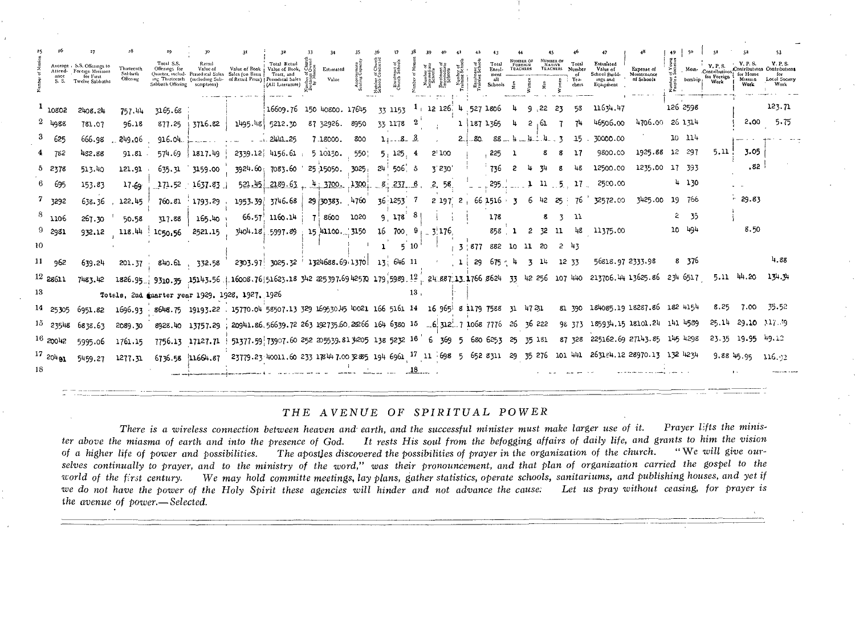|            | ance<br>S. S.        | Average / S.S. Offerings to<br>Attend- Foreign Missions<br>for First<br>Twelve Sabbaths | Thirteenth<br>Sabbath.<br>Offering | Total S.S.<br>Offerings for<br>Sabbath Offering scriptions) | Retail<br>Value of | Value of Book : Value of Book,<br>Quarter, includ- Periodical Sales Sales (on Basis   Tract, and<br>ing Thuteenth (including Sub-of Retail Price) [Periodical Sales | Total Retail<br>(All Literature) | Estimated<br>Value                                                                                                                                    |      | Number<br>Schools | Enrolmont of<br>Church School                | Number<br>Interneda<br>Schools | Enrolment<br>Intermedia<br>Schools | Enrolment of<br>raining Schoo | Total<br>Enrol-<br>Schools | <b>FOREIGN</b><br>TEACHERS |                      |       | NATIVE Total<br>TEACHERS Number<br>Tea-<br>chers | Estimated<br>Value of<br>School Build-<br>ings and<br>Equipment | Expense of<br>Montchance<br>nf Schools | Mem-<br>bersbip: | <b>Y.P.S.</b><br>Contribution<br>for Foreign<br>Work | for Home<br>Mission<br>Work | Y. P. S.<br>Locol Society<br>Work |
|------------|----------------------|-----------------------------------------------------------------------------------------|------------------------------------|-------------------------------------------------------------|--------------------|---------------------------------------------------------------------------------------------------------------------------------------------------------------------|----------------------------------|-------------------------------------------------------------------------------------------------------------------------------------------------------|------|-------------------|----------------------------------------------|--------------------------------|------------------------------------|-------------------------------|----------------------------|----------------------------|----------------------|-------|--------------------------------------------------|-----------------------------------------------------------------|----------------------------------------|------------------|------------------------------------------------------|-----------------------------|-----------------------------------|
|            |                      |                                                                                         |                                    |                                                             |                    |                                                                                                                                                                     |                                  |                                                                                                                                                       |      |                   |                                              |                                |                                    |                               |                            |                            |                      |       |                                                  |                                                                 |                                        |                  |                                                      |                             |                                   |
|            | 1,0802               | 2408.24                                                                                 | 757.44                             | 3165.68                                                     |                    |                                                                                                                                                                     |                                  | 16609.76 150 40800. 17645                                                                                                                             |      |                   | 33 1153 1 12 126 4 527 1806                  |                                |                                    |                               |                            |                            | .22                  | -23   | 58                                               | 11634.47                                                        |                                        | 126 2598         |                                                      |                             | 123.71                            |
|            | $2\frac{1088}{1000}$ | 781.07                                                                                  | 96.18                              |                                                             |                    | $877.25 + 3716.82 + 1495.48$ 5212.30                                                                                                                                |                                  | 87 32926.                                                                                                                                             | 8950 |                   | 33 1178 2                                    |                                |                                    | 1 187 1365                    |                            |                            |                      |       |                                                  | 46506.00                                                        | 4706.00                                | 26 1 71 4        |                                                      | 2.00                        | 5.75                              |
|            | 625                  | 666.98                                                                                  | 249.06                             | 916.04                                                      |                    |                                                                                                                                                                     | 1.2441.25                        | 7.18000.                                                                                                                                              | 800  |                   | $118 - 3$                                    |                                |                                    | $2 - 80$                      | 88.                        |                            | $-4.1.4.3$           |       |                                                  | 30000.00                                                        |                                        | $10 - 114$       |                                                      |                             |                                   |
|            | 782                  | 452.88                                                                                  | $91.81$ .                          | 574.69                                                      | 1817.49            |                                                                                                                                                                     | 2339.12 4156.61.                 | 510150.                                                                                                                                               | 550  |                   | 5, 125, 4                                    |                                | 2:100                              |                               | 225                        |                            | я                    |       |                                                  | 9800.00                                                         | 1925.88                                | 12 297           | 5.11                                                 | 3.05                        |                                   |
|            | $5\quad2378$         | 513.40                                                                                  | 121.91                             |                                                             | 635.31 3159.00     |                                                                                                                                                                     |                                  | 3924.60; 7083.60 25:15050. 3025;                                                                                                                      |      |                   | $24^{+}$ 506 5                               |                                | 3'230'                             |                               | 736                        | -2                         | -34<br>ц.            |       |                                                  | 12500.00                                                        | 1235.00                                | 17 393           |                                                      | ا 82.                       |                                   |
|            | 6 695                | 153.83                                                                                  | 17.69                              |                                                             | 171.52 1637.83     |                                                                                                                                                                     | $521.45$ $2189.63$ $+$           | 4.3700.1300                                                                                                                                           |      | $8$ 237 6         |                                              |                                | 2, 58                              |                               |                            | 295.111                    |                      | .5.   |                                                  | 2500.00                                                         |                                        | 4 130            |                                                      |                             |                                   |
|            | 7 3292               | 638.36,                                                                                 | 122.45                             |                                                             |                    | 760.81 1793.29 1953.39 3746.68                                                                                                                                      |                                  | 29 30383.                                                                                                                                             | 4760 | 36.1253           |                                              |                                | 21972                              |                               | 66 1516                    | $\mathbf{z}$               | 6 42                 | -25 ≟ | 76                                               | 32572.00                                                        | 3425.00                                | 19 766           |                                                      | 29.83                       |                                   |
|            | $8\quad1106$         | 267.30                                                                                  | 50.58                              | 317.88                                                      | 165.40             |                                                                                                                                                                     |                                  | $66.57$ 1160.14 7 8600                                                                                                                                | 1020 |                   | $9, 178$ 8                                   |                                |                                    |                               | 178                        |                            |                      | 8     | -11                                              |                                                                 |                                        | $2 - 35$         |                                                      |                             |                                   |
|            | $9 - 2981$           |                                                                                         |                                    | $932.12$ 118.44 1c50.56 2521.15                             |                    |                                                                                                                                                                     |                                  | 3404.18 5997.89; 15 41100. 3150                                                                                                                       |      |                   | $16$ 700 $9$ <sub>1 <math>3</math></sub> 176 |                                |                                    |                               |                            | 858 1 2 32 11              |                      |       |                                                  | 48 11375.00                                                     |                                        | 10 494           |                                                      | 8.50                        |                                   |
| 10         |                      |                                                                                         |                                    |                                                             |                    |                                                                                                                                                                     |                                  |                                                                                                                                                       |      |                   | 510                                          |                                |                                    | 3 877 882 10 11 20            |                            |                            |                      |       | 2 43                                             |                                                                 |                                        |                  |                                                      |                             |                                   |
| $11 - 962$ |                      | 639.24                                                                                  |                                    | $201.37 + 840.61$ , 332.58                                  |                    |                                                                                                                                                                     |                                  | 2303.97 3025.32 1324688.69 1370 13 646 11 1 29 675 4                                                                                                  |      |                   |                                              |                                |                                    |                               |                            |                            | - 14<br>$\mathbf{z}$ |       | 12 33                                            | 56818.97 2333.98                                                |                                        | 8 376            |                                                      |                             | 4.88                              |
| 1228611    |                      |                                                                                         |                                    |                                                             |                    |                                                                                                                                                                     |                                  | 7483.42 1826.95 9310.35 15143.56 16008.76 51623.18 342 25397.6942570 179 5989.12 24 887 13 1766 8624 33 42 256 107 440 213706.44 13625.86 234 6517    |      |                   |                                              |                                |                                    |                               |                            |                            |                      |       |                                                  |                                                                 |                                        |                  |                                                      | 5.11 44.20                  | 134.4                             |
| 13         |                      |                                                                                         |                                    |                                                             |                    | Totels, 2nd marter year 1929, 1928, 1927, 1926                                                                                                                      |                                  |                                                                                                                                                       |      |                   | 13.                                          |                                |                                    |                               |                            |                            |                      |       |                                                  |                                                                 |                                        |                  |                                                      |                             |                                   |
|            | 14 25305             | 6951.82                                                                                 |                                    |                                                             |                    |                                                                                                                                                                     |                                  | 1696.93 · 8648.75 19193.22 · 15770.04 58507.13 329 169530.45 40021 166 5161 14 · 16 965 8 1179 7588 · 31 · 47 31                                      |      |                   |                                              |                                |                                    |                               |                            |                            |                      |       | 81 390                                           |                                                                 | 184085.19 18287.86 182 4154            |                  | 8.25                                                 | 7.00                        | 35.52                             |
|            | $15235+8$            | 6838.63                                                                                 | 2089.30                            |                                                             |                    |                                                                                                                                                                     |                                  | 8928.40 13757.29 20941.86.56639.72 263 192735.60.2266 164 6380 15 .6, 312.7 1068 7776 26 36 222                                                       |      |                   |                                              |                                |                                    |                               |                            |                            |                      |       |                                                  |                                                                 | 98 373 185934.15 18101.24 141 4589     |                  |                                                      | $25.14$ $29.10$ $117.59$    |                                   |
|            | $16\,20042$          | 5995.06                                                                                 | 1761.15                            |                                                             |                    |                                                                                                                                                                     |                                  | 7756.13 17127.71   51377.59 73907.60 252 205539.81 34205 138 5232 16 6 369 5 680 6253 25 35 181                                                       |      |                   |                                              |                                |                                    |                               |                            |                            |                      |       |                                                  |                                                                 | 87 328 225162.69 27143.85 145 4298     |                  |                                                      | 23.35 19.95 49.12           |                                   |
|            | 1720401              | 5459.27                                                                                 |                                    |                                                             |                    |                                                                                                                                                                     |                                  | 1277.31 6736.58 11664.87 23779.23 40011.60 233 17844 7.00 285 194 6961 <sup>17</sup> 11 698 5 652 8311 29 35 276 101 441 2631 24.12 28970.13 132 4234 |      |                   |                                              |                                |                                    |                               |                            |                            |                      |       |                                                  |                                                                 |                                        |                  |                                                      | 9.88 45.95                  | 116.92                            |
|            |                      |                                                                                         |                                    |                                                             |                    |                                                                                                                                                                     |                                  |                                                                                                                                                       |      |                   |                                              |                                |                                    |                               |                            |                            |                      |       |                                                  |                                                                 |                                        |                  |                                                      |                             |                                   |

# THE AVENUE OF SPIRITUAL POWER

Prayer lifts the minis-There is a wireless connection between heaven and earth, and the successful minister must make larger use of it. ter above the miasma of earth and into the presence of God. It rests His soul from the befogging affairs of daily life, and grants to him the vision "We will give ourof a higher life of power and possibilities. The apostles discovered the possibilities of prayer in the organization of the church. selves continually to prayer, and to the ministry of the word," was their pronouncement, and that plan of organization carried the gospel to the world of the first century. We may hold committe meetings, lay plans, gather statistics, operate schools, sanitariums, and publishing houses, and yet if Let us pray without ceasing, for prayer is we do not have the power of the Holy Spirit these agencies will hinder and not advance the cause: the avenue of power.-Selected.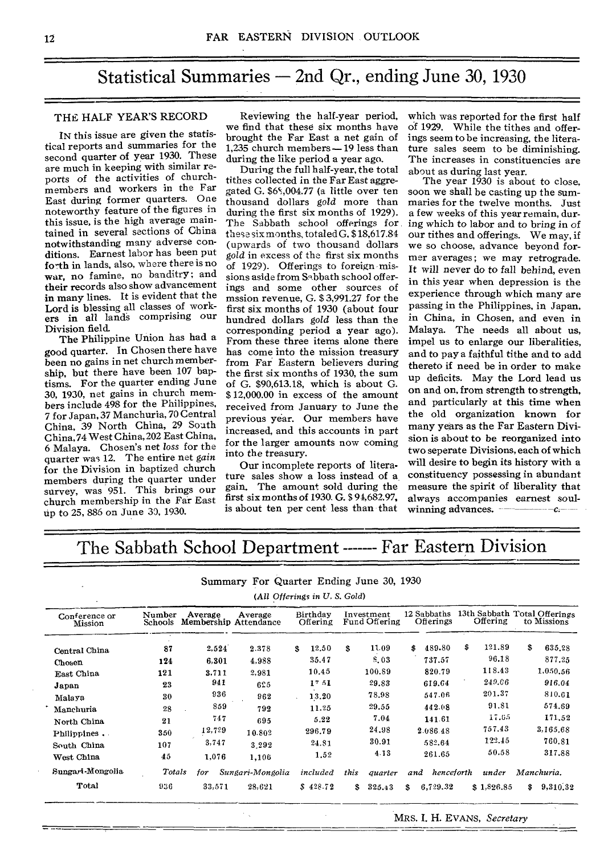# Statistical Summaries  $-$  2nd Qr., ending June 30, 1930

# THE HALF YEAR'S RECORD

IN this issue are given the statistical reports and summaries for the second quarter of year 1930. These are much in keeping with similar reports of the activities of churchmembers and workers in the Far East during former quarters. One noteworthy feature of the figures in this issue, is the high average maintained in several sections of China notwithstanding many adverse conditions. Earnest labor has been put forth in lands, also, where there is no war, no famine, no banditry; and their records also show advancement in many lines. It is evident that the Lord is blessing all classes of workers in all lands comprising our Division field.

The Philippine Union has had a good quarter. In Chosen there have been no gains in net church membership, but there have been 107 baptisms. For the quarter ending June 30, 1930, net gains in church members include 498 for the Philippines, 7 for Japan, 37 Manchuria, 70 Central China, 39 North China, 29 South China, 74 West China, 202 East China, 6 Malaya. Chosen's net *loss* for the quarter was 12. The entire net *gain*  for the Division in baptized church members during the quarter under survey, was 951. This brings our church membership in the Far East up to 25, 886 on June 30, 1930.

Reviewing the half-year period, we find that these six months have brought the Far East a net gain of 1,235 church members - 19 less than during the like period a year ago.

During the full half-year, the total tithes collected in the Far East aggregated G. \$6S,004.77 (a little over ten thousand dollars *gold* more than during the first six months of 1929). The Sabbath school offerings for these six months, totaled G. \$ 18,617.84 (upwards of two thousand dollars *gold* in excess of the first six months of 1929). Offerings to foreign missions aside from Sabbath school offerings and some other sources of mssion revenue, G. \$ 3,991.27 for the first six months of 1930 (about four hundred dollars *gold* less than the corresponding period a year ago). From these three items alone there has come into the mission treasury from Far Eastern believers during the first six months of 1930, the sum of G. \$90,613.18, which is about G. \$ 12,000.00 in excess of the amount received from January to June the previous year. Our members have increased, and this accounts in part for the larger amounts now coming into the treasury.

Our incomplete reports of literature sales show a loss instead of a gain. The amount sold during the first six months of 1930. G. \$ 94,682.97, is about ten per cent less than that

which was reported for the first half of 1929. While the tithes and offerings seem to be increasing, the literature sales seem to be diminishing. The increases in constituencies are about as during last year.

The year 1930 is about to close, soon we shall be casting up the summaries for the twelve months. Just a few weeks of this year remain, during which to labor and to bring in of our tithes and offerings. We may, if we so choose, advance beyond former averages; we may retrograde. It will never do to fall behind, even in this year when depression is the experience through which many are passing in the Philippines, in Japan, in China, in Chosen, and even in Malaya. The needs all about us, impel us to enlarge our liberalities, and to pay a faithful tithe and to add thereto if need be in order to make up deficits. May the Lord lead us on and on, from strength to strength, and particularly at this time when the old organization known for many years as the Far Eastern Division is about to be reorganized into two seperate Divisions, each of which will desire to begin its history with a constituency possessing in abundant measure the spirit of liberality that always accompanies earnest soulwinning advances. **comparison** 

# The Sabbath School Department ------- Far Eastern Division

Summary For Quarter Ending June 30, 1930

*(All Offerings in U, S. Gold)* 

| Conference or<br>Mission | Number<br>Schools | Average<br>Membership Attendance | Average          | Birthday<br>Offering |      | Investment<br>Fund Offering |     | 12 Sabbaths<br>Offerings | 13th Sabbath Total Offerings<br>Offering |            |    | to Missions |
|--------------------------|-------------------|----------------------------------|------------------|----------------------|------|-----------------------------|-----|--------------------------|------------------------------------------|------------|----|-------------|
| Central China            | 87                | 2,524                            | 2.378            | 12.50<br>s.          | S    | 11.09                       | \$  | 489.80                   | \$                                       | 121.89     | \$ | 635.28      |
| Chosen                   | 124               | 6.301                            | 4.988            | 35.47                |      | 8.03                        |     | 737.57                   |                                          | 96.18      |    | 877.25      |
| <b>East China</b>        | 121               | 3.711                            | 2.981            | 10.45                |      | 100.89                      |     | 820.79                   |                                          | 118.43     |    | 1,050.56    |
| Japan                    | 23                | 941                              | 625              | 17.51                |      | 29.83                       |     | 619.64                   |                                          | 249.06     |    | 916.04      |
| Malaya                   | 30                | 936                              | 962              | 13.20                |      | 78.98                       |     | 547.06                   |                                          | 201.37     |    | 810.61      |
| Manchuria                | 28                | 859                              | 792              | 11.25                |      | 29.55                       |     | 442.08                   |                                          | 91.81      |    | 574.69      |
| North China              | 21                | 747                              | 695              | 5.22                 |      | 7.04                        |     | 141.61                   |                                          | 17.65      |    | 171.52      |
| Philippines.             | 350               | 12,729                           | 10.802           | 296.79               |      | 24.98                       |     | 2.086.48                 |                                          | 757.43     |    | 3,165.68    |
| South China              | 107               | 3,747                            | 3.292            | 24.81                |      | 30.91                       |     | 582.64                   |                                          | 122.45     |    | 760.81      |
| West China               | 45                | 1,076                            | 1,106            | 1.52                 |      | 4.13                        |     | 261.65                   |                                          | 50.58      |    | 317.88      |
| Sungari-Mongolia         | Totals            | for                              | Sungari-Mongolia | included             | this | <i>auarter</i>              | and | henceforth               |                                          | under      |    | Manchuria.  |
| Total                    | 936               | 33,571                           | 28,621           | \$428.72             | \$   | 325.43                      | s.  | 6,729.32                 |                                          | \$1,826.85 | s. | 9,310.32    |

 $\hat{\mathcal{F}}_{\text{in}}$ 

MRS. I. H. EVANS, *Secretary*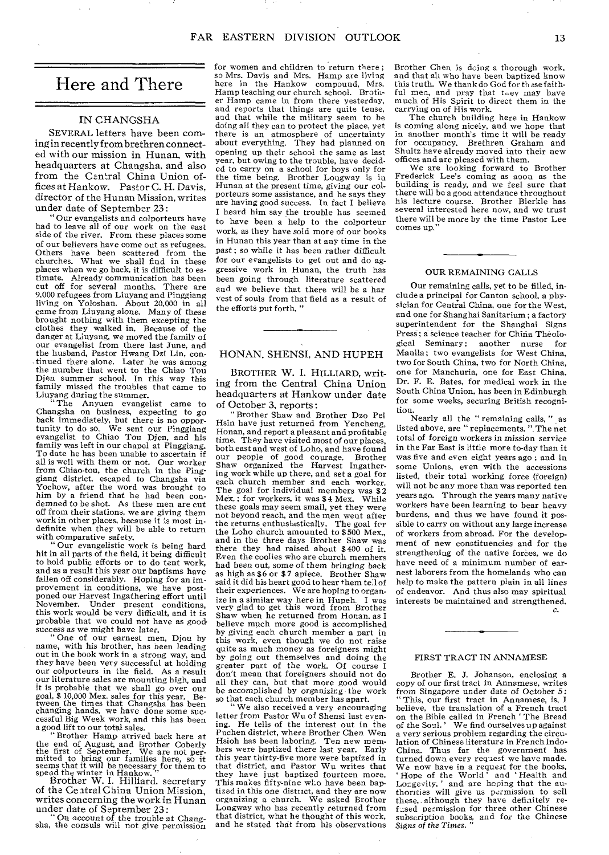# Here and There

## IN CHANGSHA

SEVERAL letters have been coming in recently from brethren connected with our mission in Hunan, with headquarters at Changsha, and also from the Central China Union offices at Hankow. Pastor C. H. Davis, director of the Hunan Mission, writes under date of September 23:

" Our evangelists and colporteurs have had to leave all of our work on the east side of the river. From these places some of our believers have come out as refugees. Others have been scattered from the churches. What we shall find in these places when we go back, it is difficult to estimate. Already communication has been cut off for several months. There are 9,000 refugees from Liuyang and Pinggiang living on Yoloshan. About 20,000 in all came from Liuyang alone. Many of these brought nothing with them excepting the clothes they walked in. Because of the danger at Liuyang, we moved the family of our evangelist from there last June, and the husband, Pastor Hwang Dzi Lin, continued there alone. Later he was among the number that went to the Chiao Tou Djen summer school. In this way this family missed the troubles that came to Liuyang during the summer. "The Anyuen evangelist came to

Changsha on business, expecting to go back immediately, but there is no opportunity to do so. We sent our Pinggiang evangelist to Chiao Tou Djen, and his family was left in our chapel at Pinggiang. To date he has been unable to ascertain if all is well with them or not. Our worker from Chiao-tou, the church in the Pinggiang district, escaped to Changsha via Yochow, after the word was brought to him by a friend that he had been condemned to be shot. As these men are cut off from their stations, we are giving them work in other places, because it is most indefinite when they will be able to return with comparative safety.

" Our evangelistic work is being hard hit in all parts of the field, it being difficult to hold public efforts or to do tent work, and as a result this year our baptisms have fallen off considerably. Hoping for an improvement in conditions, we have postponed our Harvest Ingathering effort until November. Under present conditions, this work would be very difficult, and it is probable that we could not have as good *success* as we might have later. " One of our earnest men, Djou by

name, with his brother, has been leading out in the book work in a strong way, and they have been very successful at holding our colporteurs in the field. As a result our literature sales are mounting high, and it is probable that we shall go over our goal, \$ 10,000 Mex. sales for this year. Be-tween the times that Changsha has been changing hands, we have done some successful Big Week work, and this has been a good lift to our total sales. " Brother Hamp arrived back here at

the end of August, and Brother Coberly<br>the first of September. We are not per-<br>mitted to bring our families here, so it<br>seems that it will be necessary for them to<br>sepead the winter in Hankow."<br>Brother W. I. Hilliard. secr

of the Ce atral China Union Mission, writes concerning the work in Hunan

under date of September 23: " On account *of* the trouble at Chang-sha, the consuls will not give permission

for women and children to return there ; so Mrs. Davis and Mrs. Hamp are living here in the Hankow compound, Mrs. Hamp teaching our church school. Brother Hamp came in from there yesterday, and reports that things are quite tense. and that while the military seem to be doing all they can to protect the place, yet there is an atmosphere of uncertainty about everything. They had planned on opening up their school the same as last year, but owing to the trouble, have decided to carry on a school for boys only for the time being. Brother Longway is in Hunan at the present time, *giving* our colporteurs some assistance, and he says they are having good success. In fact I believe I heard him say the trouble has seemed to have been a help to the colporteur work, as they have sold more of our books in Hunan this year than at any time in the past ; so while it has been rather difficult for our evangelists to get out and do aggressive work in Hunan, the truth has been going through literature scattered and we believe that there will be a har vest of souls from that field as a result of the efforts put forth. "

# HONAN, SHENSI, AND HUPEH

BROTHER W. I. HILLIARD, writing from the Central China Union headquarters at Hankow under date of October 3, reports :

" Brother Shaw and Brother Dzo Pei Hsin have just returned from Yencheng, Honan, and report a pleasant and profitable time. They have visited most of our places, both east and west of Loho, and have found our people of good courage. Brother Shaw organized the Harvest Ingathering work while up there, and set a goal for each church member and each worker. The goal for individual members was \$2 Mex.; for workers, it was \$4 Mex. While these goals may seem small, yet they were not beyond reach, and the men went after the returns enthusiastically. The goal for the Loho church amounted to \$ 500 Mex., and in the three days Brother Shaw was there they had raised about \$ 400 of it. Even the coolies who are church members had been out, some *of* them *bringing* back as high as \$6 or \$7 apiece. Brother Shaw said it did his heart good to hear them tell of their experiences. We are hoping to organize in a similar way here in Hupeh. I was very glad to get this word from Brother Shaw when he returned from Honan, as I believe much more good is accomplished by giving each church member a part in this work, even though we do not raise quite as much money as foreigners might by going out themselves and doing the greater part of the work. Of course I don't mean that foreigners should not do all they can, but that more good would be accomplished by organizing the work so that each church member has apart.

" We also received a very encouraging letter from Pastor Wu of Shensi last evening. He tells of the interest out in the Puchen district, where Brother Chen Wen Hsioh has been laboring. Ten new members were baptized there last year. Early this year thirty-five more were baptized in that district, and Pastor Wu writes that they have just baptized fourteen more. This makes fifty-nine who have been baptized in this one district, and they are now organizing a church. We asked Brother Longway who has recently returned from that district, what he thought of this work, and he stated that from his observations

Brother Chen is doing a thorough work, and that alt who have been baptized know this truth. We thank do God for th sse faithful men, and pray that they may have much of His Spirit to direct them in the carrying on of His work.

The church building here in Hankow is coming along nicely, and we hope that in another month's time it will be ready for occupancy. Brethren Graham and Shultz have already moved into their new offices and are pleased with them.

We are looking forward to Brother Frederick Lee's coming as aoon as the building is ready, and we feel sure that there will be a good attendance throughout his lecture course. Brother Bierkle has several interested here now, and we trust there will be more by the time Pastor Lee comes up."

## OUR REMAINING CALLS

Our remaining calls, yet to be filled, include a principal for Canton school, a physician for Central China, one for the West, and one for Shanghai Sanitarium ; a factory superintendent for the Shanghai Signs Press; a science teacher for China Theological Seminary; another nurse for Manila; two evangelists for West China, two for South China, two for North China, one for Manchuria, one for East China. Dr. F. E. Bates, for medical work in the South China Union, has been in Edinburgh for some weeks, securing British recognition.

Nearly all the " remaining calls, " as listed above, are " replacements. ". The net total of foreign workers in *mission service*  in the Far East is little more to-day than it was five and even eight years ago ; and in some Unions, even with the accessions listed, their total working force (foreign) will not be any more than was reported ten years ago. Through the years many native workers have been learning to bear heavy burdens, and thus we have found it possible to carry on without any large increase of workers from abroad. For the development of new constituencies and for the strengthening of the native forces, we do have need of a minimum number of earnest laborers from the homelands who can help to make the pattern plain in all lines of endeavor. And thus also may spiritual interests be maintained and strengthened.

*c.* 

#### FIRST TRACT IN ANNAMESE

Brother E. J. Johanson, enclosing a copy of our first tract in Annamese, writes *from Singapore* under date of October 5: " This, our first tract in Annamese, is, I believe, the translation of a French tract on the Bible called in French ' The Bread of the Soul.' We find ourselves up against a very serious problem regarding the circulation of Chinese literature in French Indo-Thus far the government has turned down every request we have made. We now have in a request for the books, Hope of the World' and `Health and Longevity,' and are hoping that the authorities will give us permission to sell these,. although they have definitely re-fused permission for three other Chinese subscription books, and for the Chinese  $Sigs$  of the Times.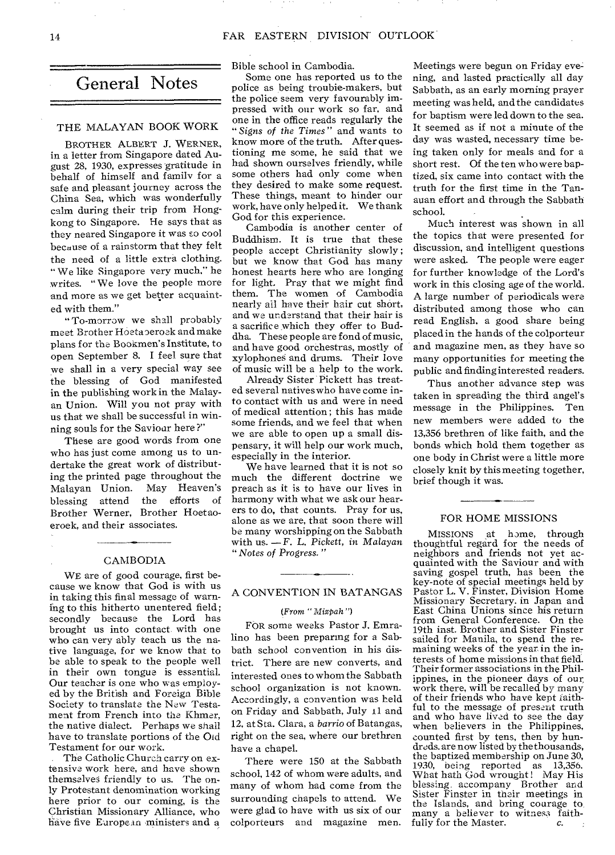# General Notes

# THE MALAYAN BOOK WORK

BROTHER ALBERT J. WERNER, in a letter from Singapore dated August 28, 1930, expresses gratitude in behalf of himself and family for a safe and pleasant journey across the China Sea, which was wonderfully calm during their trip from Hongkong to Singapore. He says that as they neared Singapore it was so cool because of a rainstorm that they felt the need of a little extra clothing. " We like Singapore very much," he writes. " We love the people more and more as we get better acquainted with them."

"To-morrow we shall probably meet Brother Hoeta oeroek and make plans for the Bookmen's Institute, to open September 8. I feel sure that we shall in a very special way see the blessing of God manifested in the publishing work in the Malayan Union. Will you not pray with us that we shall be successful in winning souls for the Savioar here ?"

These are good words from one who has just come among us to undertake the great work of distributing the printed page throughout the Malayan Union. May Heaven's blessing attend the efforts of Brother Werner, Brother Hoetaoeroek, and their associates.

# CAMBODIA

WE are of good courage, first because we know that God is with us in taking this final message of warning to this hitherto unentered field ; secondly because the Lord has brought us into contact with one who can very ably teach us the native language, for we know that to be able to speak to the people well in their own tongue is essential. Our teacher is one who was employed by the British and Foreign Bible Society to translate the New Testament from French into the Khmer, the native dialect. Perhaps we shall have to translate portions of the Old Testament for our work.

The Catholic Church carry on extensive work here, and have shown themselves friendly to us. The only Protestant denomination working here prior to our coming, is the Christian Missionary Alliance, who have five European ministers and a

Bible school in Cambodia. Some one has reported us to the

police as being troubie-makers, but the police seem very favourably impressed with our work so far, and one in the office reads regularly the *" Signs of the Times"* and wants to know more of the truth. After questioning me some, he said that we had shown ourselves friendly, while some others had only come when they desired to make some request. These things, meant to hinder our work, have only helped it. We thank God for this experience.

Cambodia is another center of Buddhism. It is true that these people accept Christianity slowly; but we know that God has many honest hearts here who are longing for light. Pray that we might find them. The women of Cambodia nearly all have their hair cut short, and we understand that their hair is a sacrifice which they offer to Buddha. These people are fond of music, and have good orchestras, mostly of xylophones and drums. Their love of music will be a help to the work.

Already Sister Pickett has treated several natives who have come into contact with us and were in need of medical attention ; this has made some friends, and we feel that when we are able to open up a small dispensary, it will help our work much, especially in the interior.

We have learned that it is not so much the different doctrine we preach as it is to have our lives in harmony with what we ask our hearers to do, that counts. Pray for us, alone as we are, that soon there will be many worshipping on the Sabbath with us. —F. L. Pickett, in *Malayan " Notes of Progress. "* 

# A CONVENTION IN BATANGAS

# (From " Mizpah")

FOR some weeks Pastor J. Emralino has been preparing for a Sabbath school convention in his district. There are new converts, and interested ones to whom the Sabbath school organization is not known. Accordingly, a convention was held on Friday and Sabbath, July 11 and 12, at Sta. Clara, a *barrio* of Batangas, right on the sea, where our brethren have a chapel.

There were 150 at the Sabbath school, 142 of whom were adults, and many of whom had come from the surrounding chapels to attend. We were glad to have with us six of our colporteurs and magazine men.

Meetings were begun on Friday evening, and lasted practically all day Sabbath, as an early morning prayer meeting was held, and the candidates for baptism were led down to the sea. It seemed as if not a minute of the day was wasted, necessary time being taken only for meals and for a short rest. Of the ten who were baptized, six came into contact with the truth for the first time in the Tanauan effort and through the Sabbath school.

Much interest was shown in all the topics that were presented for discussion, and intelligent questions were asked. The people were eager for further knowledge of the Lord's work in this closing age of the world. A large number of periodicals were distributed among those who can read English, a good share being placed in the hands of the colporteur and magazine men, as they have so many opportunities for meeting the public and finding interested readers.

Thus another advance step was taken in spreading the third angel's message in the Philippines. Ten new members were added to the 13,356 brethren of like faith, and the bonds which hold them together as one body in Christ were a little more closely knit by this meeting together, brief though it was.

#### FOR HOME MISSIONS

MISSIONS at home, through thoughtful regard for the needs of neighbors and friends not yet acquainted with the Saviour and with saving gospel truth, has been the key-note of special meetings held by Pastor L. V. Finster, Division Home Missionary Secretary, in Japan and East China Unions since his return from General Conference. On the 19th inst. Brother and Sister Finster sailed for Manila, to spend the re-maining weeks of the year in the in, terests of home missions in that field. Their former associations in the Philippines, in the pioneer days of our, work there, will be recalled by many of their friends who have kept faithful to the message of present truth and who have lived to see the day when believers in the Philippines, counted first by tens, then by hundreds, are now listed by the thousands, the baptized membership on June 30, 1930, being reported as 13,356. What bath God wrought! May His blessing. accompany Brother and Sister Finster in their meetings in the Islands, and bring courage to many a believer to witness faith-<br>fully for the Master. fully for the Master.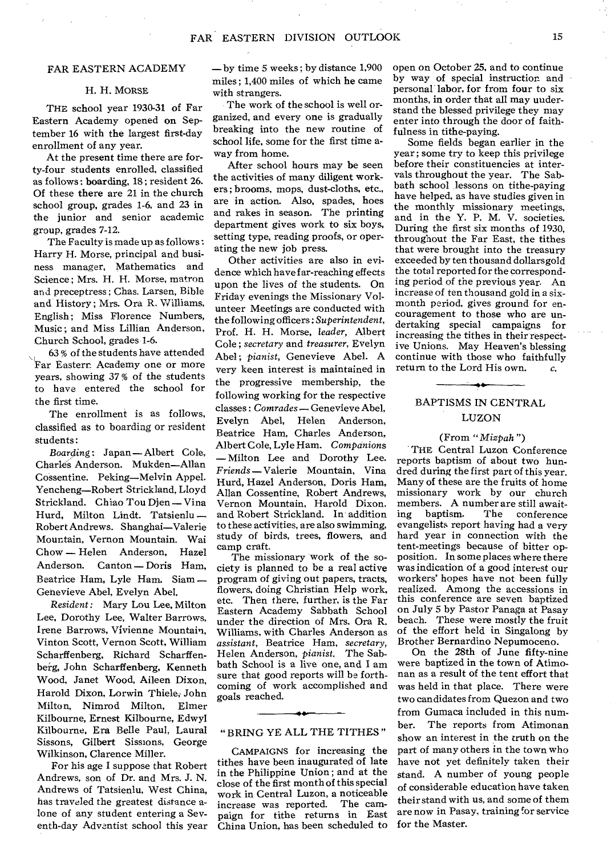# FAR EASTERN ACADEMY

#### H. H. MORSE

THE school year 1930-31 of Far Eastern Academy opened on September 16 with the largest first-day enrollment of any year.

At the present time there are forty-four students enrolled, classified as follows : boarding, 18 ; resident 26. Of these there are 21 in the church school group, grades 1-6, and 23 in the junior and senior academic group, grades 7-12.

The Faculty is made up as follows : Harry H. Morse, principal and business manager, Mathematics and Science ; Mrs. H. H. Morse, matron and preceptress ; Chas. Larsen, Bible and History; Mrs. Ora R. Williams, English: Miss Florence Numbers, Music ; and Miss Lillian Anderson, Church School, grades-1-b.

63 % of the students have attended Far Eastern Academy one or more years, showing 37 % of the students to have entered the school for the first time.

The enrollment is as follows, classified as to boarding or resident students :

*Boarding:* Japan — Albert Cole, Charles Anderson. Mukden—Allan Cossentine. Peking—Melvin Appel. Yencheng—Robert Strickland, Lloyd Strickland. Chiao Tou Djen — Vina Hurd, Milton Lindt. Tatsienlu — Robert Andrews. Shanghai—Valerie Mountain, Vernon Mountain. Wai Chow — Helen Anderson, Hazel Anderson. Canton — Doris Ham, Beatrice Ham, Lyle Ham. Siam — Genevieve Abel, Evelyn Abel.

*Resident:* Mary Lou Lee, Milton Lee. Dorothy Lee, Walter Barrows, Irene Barrows, Vivienne Mountain, Vinton Scott, Vernon Scott, William Scharffenberg, Richard Scharffenberg, John Scharffenberg, Kenneth Wood, Janet Wood, Aileen Dixon, Harold Dixon, Lorwin Thiele, John Milton, Nimrod Milton, Elmer Kilbourne, Ernest Kilbourne, Edwyl Kilbourne. Era Belle Paul, Laural Sissons, Gilbert Sissions, George Wilkinson, Clarence Miller.

For his age I suppose that Robert Andrews, son of Dr. and Mrs. J. N. Andrews of Tatsienlu, West China, has traveled the greatest distance alone of any student entering a Seventh-day Adventist school this year

—by time 5 weeks ; by distance 1,900 miles ; 1,400 miles of which he came with strangers.

The work of the school is well organized, and every one is gradually breaking into the new routine of school life, some for the first time away from home.

After school hours may be seen the activities of many diligent workers ; brooms, mops, dust-cloths, etc., are in action. Also, spades, hoes and rakes in season. The printing department gives work to six boys, setting type, reading proofs, or operating the new job press.

Other activities are also in evidence which have far-reaching effects upon the lives of the students. On Friday evenings the Missionary Volunteer Meetings are conducted with the following officers : *Superintendent,*  Prof. H. H. Morse, *leader,* Albert Cole ; *secretary* and *treasurer,* Evelyn Abel ; *pianist,* Genevieve Abel. A very keen interest is maintained in the progressive membership, the following working for the respective classes : *Comrades —* Genevieve Abel, Evelyn Abel, Helen Anderson, Beatrice Ham, Charles Anderson, Albert Cole, Lyle Ham. *Companions*  — Milton Lee and Dorothy Lee. *Friends—Valerie* Mountain, Vina Hurd, Hazel Anderson, Doris Ham, Allan Cossentine, Robert Andrews, Vernon Mountain, Harold Dixon. and Robert Strickland. In addition to these activities, are also swimming, study of birds, trees, flowers, and camp craft.

The missionary work of the society is planned to be a real active program of giving out papers, tracts, flowers, doing Christian Help work, etc. Then there, further, is the Far Eastern Academy Sabbath School under the direction of Mrs. Ora R. Williams, with Charles Anderson as *assistant,* Beatrice Ham, *secretary,*  Helen Anderson, *pianist.* The Sabbath School is a live one, and I am sure that good reports will be forthcoming of work accomplished and goals reached.

#### " BRING YE ALL THE TITHES "

CAMPAIGNS for increasing the tithes have been inaugurated of late in the Philippine Union ; and at the close of the first month of this special work in Central Luzon, a noticeable<br>increase was reported. The camincrease was reported. paign for tithe returns in East China Union, has been scheduled to

open on October 25, and to continue by way of special instruction and personal labor, for from four to six months, in order that all may understand the blessed privilege they may enter into through the door of faithfulness in tithe-paying.

Some fields began earlier in the year; some try to keep this privilege before their constituencies at intervals throughout the year. The Sabbath school lessons on tithe-paying have helped, as have studies given in the monthly missionary meetings, and in the Y. P. M. V. societies. During the first six months of 1930, throughout the Far East, the tithes that were brought into the treasury exceeded by ten thousand dollarsgold the total reported for the corresponding period of the previous year. An increase of ten thousand gold in a sixmonth period, gives ground for encouragement to those who are undertaking special campaigns for increasing the tithes in their respective Unions. May Heaven's blessing continue with those who faithfully return to the Lord His own. *c.* 

# BAPTISMS IN CENTRAL LUZON

## (From *"Mizpah ")*

THE Central Luzon Conference reports baptism of about two hundred during the first part of this year. Many of these are the fruits of home missionary work by our church members. A number are still await-<br>ing baptism. The conference The conference evangelists report having had a very hard year in connection with the tent-meetings because of bitter opposition. In some places where there was indication of a good interest our workers' hopes have not been fully realized. Among the accessions in this conference are seven baptized on July 5 by Pastor Panaga at Pasay beach. These were mostly the fruit of the effort held in Singalong by Brother Bernardino Nepumoceno.

On the 28th of June fifty-nine were baptized in the town of Atimonan as a result of the tent effort that was held in that place. There were two candidates from Quezon and two from Gumaca included in this number. The reports from Atimonan show an interest in the truth on the part of many others in the town who have not yet definitely taken their stand. A number of young people of considerable education have taken their stand with us, and some of them are now in Pasay, training for service for the Master.